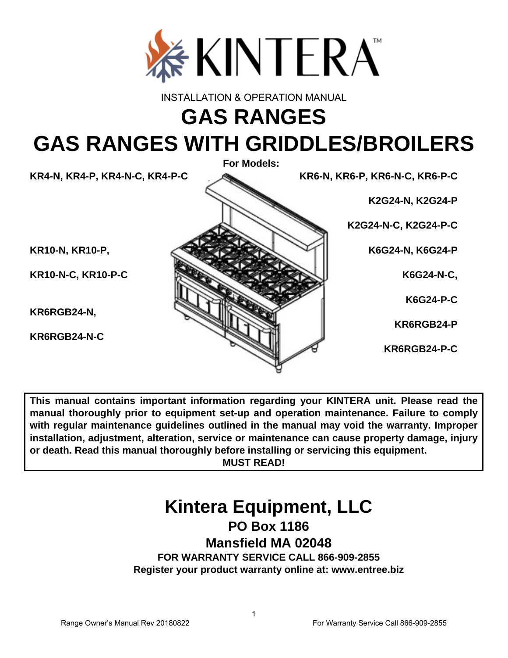

INSTALLATION & OPERATION MANUAL

# **GAS RANGES GAS RANGES WITH GRIDDLES/BROILERS**



**This manual contains important information regarding your KINTERA unit. Please read the manual thoroughly prior to equipment set-up and operation maintenance. Failure to comply with regular maintenance guidelines outlined in the manual may void the warranty. Improper installation, adjustment, alteration, service or maintenance can cause property damage, injury or death. Read this manual thoroughly before installing or servicing this equipment. MUST READ!**

# **Kintera Equipment, LLC**

**PO Box 1186** 

**Mansfield MA 02048** 

**FOR WARRANTY SERVICE CALL 866-909-2855 Register your product warranty online at: www.entree.biz**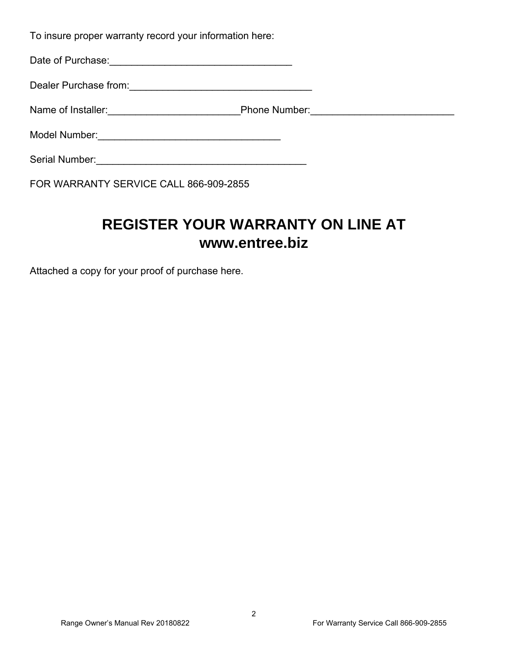To insure proper warranty record your information here:

Date of Purchase:\_\_\_\_\_\_\_\_\_\_\_\_\_\_\_\_\_\_\_\_\_\_\_\_\_\_\_\_\_\_\_\_\_

Dealer Purchase from:\_\_\_\_\_\_\_\_\_\_\_\_\_\_\_\_\_\_\_\_\_\_\_\_\_\_\_\_\_\_\_\_\_

Name of Installer: example and the Phone Number:

Model Number:\_\_\_\_\_\_\_\_\_\_\_\_\_\_\_\_\_\_\_\_\_\_\_\_\_\_\_\_\_\_\_\_\_

Serial Number:\_\_\_\_\_\_\_\_\_\_\_\_\_\_\_\_\_\_\_\_\_\_\_\_\_\_\_\_\_\_\_\_\_\_\_\_\_\_

FOR WARRANTY SERVICE CALL 866-909-2855

# **REGISTER YOUR WARRANTY ON LINE AT www.entree.biz**

Attached a copy for your proof of purchase here.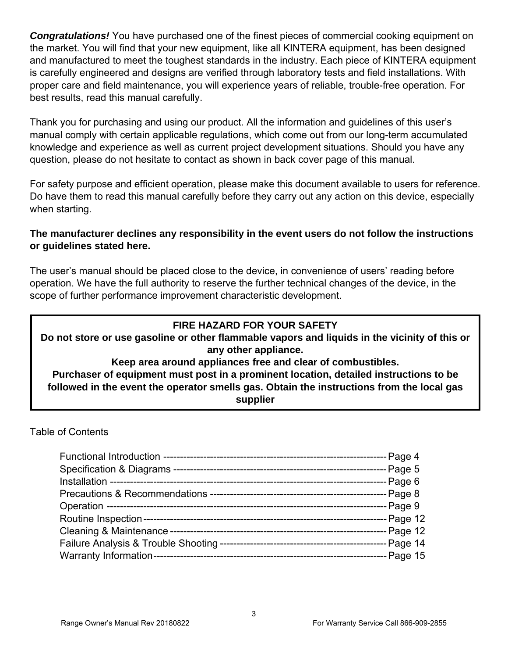*Congratulations!* You have purchased one of the finest pieces of commercial cooking equipment on the market. You will find that your new equipment, like all KINTERA equipment, has been designed and manufactured to meet the toughest standards in the industry. Each piece of KINTERA equipment is carefully engineered and designs are verified through laboratory tests and field installations. With proper care and field maintenance, you will experience years of reliable, trouble-free operation. For best results, read this manual carefully.

Thank you for purchasing and using our product. All the information and guidelines of this user's manual comply with certain applicable regulations, which come out from our long-term accumulated knowledge and experience as well as current project development situations. Should you have any question, please do not hesitate to contact as shown in back cover page of this manual.

For safety purpose and efficient operation, please make this document available to users for reference. Do have them to read this manual carefully before they carry out any action on this device, especially when starting.

### **The manufacturer declines any responsibility in the event users do not follow the instructions or guidelines stated here.**

The user's manual should be placed close to the device, in convenience of users' reading before operation. We have the full authority to reserve the further technical changes of the device, in the scope of further performance improvement characteristic development.

## **FIRE HAZARD FOR YOUR SAFETY**

**Do not store or use gasoline or other flammable vapors and liquids in the vicinity of this or any other appliance.** 

### **Keep area around appliances free and clear of combustibles.**

**Purchaser of equipment must post in a prominent location, detailed instructions to be followed in the event the operator smells gas. Obtain the instructions from the local gas supplier**

Table of Contents

|                                     | -- Page 4  |
|-------------------------------------|------------|
|                                     |            |
|                                     | -Page 6    |
|                                     |            |
|                                     | -Page 9    |
|                                     | -Page $12$ |
| Cleaning & Maintenance -            | -Page $12$ |
| Failure Analysis & Trouble Shooting | -Page 14   |
|                                     | -- Page 15 |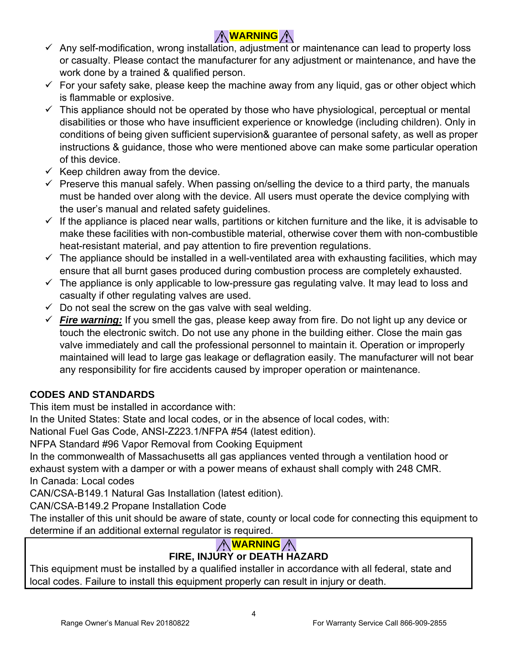# **WARNING**

- $\checkmark$  Any self-modification, wrong installation, adjustment or maintenance can lead to property loss or casualty. Please contact the manufacturer for any adjustment or maintenance, and have the work done by a trained & qualified person.
- $\checkmark$  For your safety sake, please keep the machine away from any liquid, gas or other object which is flammable or explosive.
- $\checkmark$  This appliance should not be operated by those who have physiological, perceptual or mental disabilities or those who have insufficient experience or knowledge (including children). Only in conditions of being given sufficient supervision& guarantee of personal safety, as well as proper instructions & guidance, those who were mentioned above can make some particular operation of this device.
- $\checkmark$  Keep children away from the device.
- $\checkmark$  Preserve this manual safely. When passing on/selling the device to a third party, the manuals must be handed over along with the device. All users must operate the device complying with the user's manual and related safety guidelines.
- $\checkmark$  If the appliance is placed near walls, partitions or kitchen furniture and the like, it is advisable to make these facilities with non-combustible material, otherwise cover them with non-combustible heat-resistant material, and pay attention to fire prevention regulations.
- $\checkmark$  The appliance should be installed in a well-ventilated area with exhausting facilities, which may ensure that all burnt gases produced during combustion process are completely exhausted.
- $\checkmark$  The appliance is only applicable to low-pressure gas regulating valve. It may lead to loss and casualty if other regulating valves are used.
- $\checkmark$  Do not seal the screw on the gas valve with seal welding.
- $\checkmark$  Fire warning: If you smell the gas, please keep away from fire. Do not light up any device or touch the electronic switch. Do not use any phone in the building either. Close the main gas valve immediately and call the professional personnel to maintain it. Operation or improperly maintained will lead to large gas leakage or deflagration easily. The manufacturer will not bear any responsibility for fire accidents caused by improper operation or maintenance.

## **CODES AND STANDARDS**

This item must be installed in accordance with:

In the United States: State and local codes, or in the absence of local codes, with:

National Fuel Gas Code, ANSI-Z223.1/NFPA #54 (latest edition).

NFPA Standard #96 Vapor Removal from Cooking Equipment

In the commonwealth of Massachusetts all gas appliances vented through a ventilation hood or exhaust system with a damper or with a power means of exhaust shall comply with 248 CMR. In Canada: Local codes

CAN/CSA-B149.1 Natural Gas Installation (latest edition).

CAN/CSA-B149.2 Propane Installation Code

The installer of this unit should be aware of state, county or local code for connecting this equipment to determine if an additional external regulator is required.

### **WARNING FIRE, INJURY or DEATH HAZARD**

This equipment must be installed by a qualified installer in accordance with all federal, state and local codes. Failure to install this equipment properly can result in injury or death.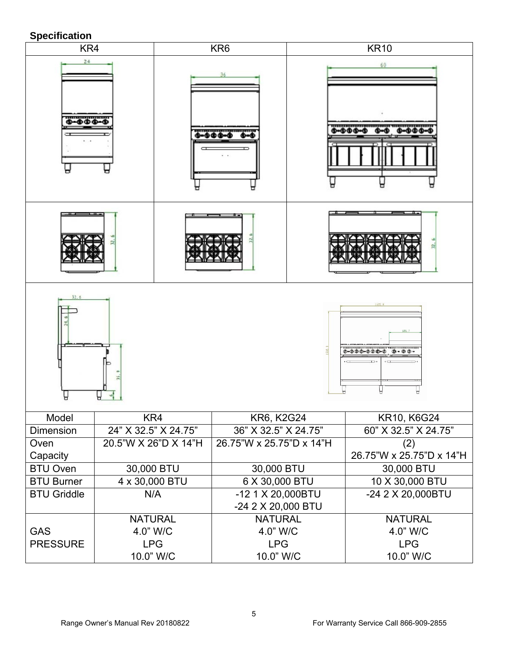### **Specification**

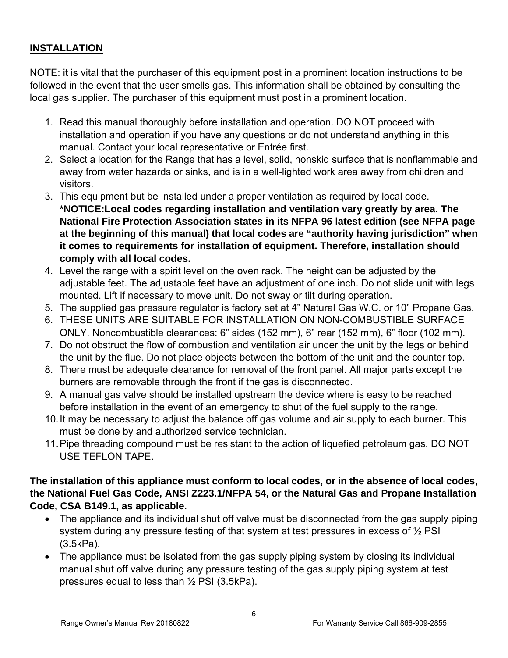### **INSTALLATION**

NOTE: it is vital that the purchaser of this equipment post in a prominent location instructions to be followed in the event that the user smells gas. This information shall be obtained by consulting the local gas supplier. The purchaser of this equipment must post in a prominent location.

- 1. Read this manual thoroughly before installation and operation. DO NOT proceed with installation and operation if you have any questions or do not understand anything in this manual. Contact your local representative or Entrée first.
- 2. Select a location for the Range that has a level, solid, nonskid surface that is nonflammable and away from water hazards or sinks, and is in a well-lighted work area away from children and visitors.
- 3. This equipment but be installed under a proper ventilation as required by local code. **\*NOTICE:Local codes regarding installation and ventilation vary greatly by area. The National Fire Protection Association states in its NFPA 96 latest edition (see NFPA page at the beginning of this manual) that local codes are "authority having jurisdiction" when it comes to requirements for installation of equipment. Therefore, installation should comply with all local codes.**
- 4. Level the range with a spirit level on the oven rack. The height can be adjusted by the adjustable feet. The adjustable feet have an adjustment of one inch. Do not slide unit with legs mounted. Lift if necessary to move unit. Do not sway or tilt during operation.
- 5. The supplied gas pressure regulator is factory set at 4" Natural Gas W.C. or 10" Propane Gas.
- 6. THESE UNITS ARE SUITABLE FOR INSTALLATION ON NON-COMBUSTIBLE SURFACE ONLY. Noncombustible clearances: 6" sides (152 mm), 6" rear (152 mm), 6" floor (102 mm).
- 7. Do not obstruct the flow of combustion and ventilation air under the unit by the legs or behind the unit by the flue. Do not place objects between the bottom of the unit and the counter top.
- 8. There must be adequate clearance for removal of the front panel. All major parts except the burners are removable through the front if the gas is disconnected.
- 9. A manual gas valve should be installed upstream the device where is easy to be reached before installation in the event of an emergency to shut of the fuel supply to the range.
- 10. It may be necessary to adjust the balance off gas volume and air supply to each burner. This must be done by and authorized service technician.
- 11. Pipe threading compound must be resistant to the action of liquefied petroleum gas. DO NOT USE TEFLON TAPE.

### **The installation of this appliance must conform to local codes, or in the absence of local codes, the National Fuel Gas Code, ANSI Z223.1/NFPA 54, or the Natural Gas and Propane Installation Code, CSA B149.1, as applicable.**

- The appliance and its individual shut off valve must be disconnected from the gas supply piping system during any pressure testing of that system at test pressures in excess of  $\frac{1}{2}$  PSI (3.5kPa).
- The appliance must be isolated from the gas supply piping system by closing its individual manual shut off valve during any pressure testing of the gas supply piping system at test pressures equal to less than ½ PSI (3.5kPa).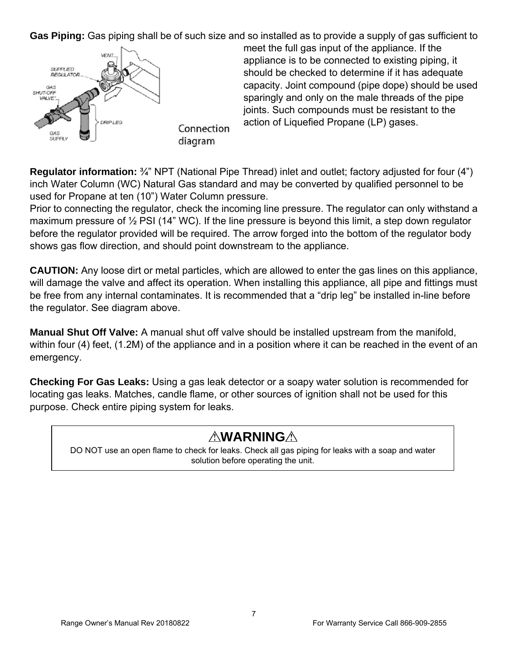**Gas Piping:** Gas piping shall be of such size and so installed as to provide a supply of gas sufficient to



meet the full gas input of the appliance. If the appliance is to be connected to existing piping, it should be checked to determine if it has adequate capacity. Joint compound (pipe dope) should be used sparingly and only on the male threads of the pipe joints. Such compounds must be resistant to the action of Liquefied Propane (LP) gases.

**Regulator information:** ¾" NPT (National Pipe Thread) inlet and outlet; factory adjusted for four (4") inch Water Column (WC) Natural Gas standard and may be converted by qualified personnel to be used for Propane at ten (10") Water Column pressure.

Prior to connecting the regulator, check the incoming line pressure. The regulator can only withstand a maximum pressure of ½ PSI (14" WC). If the line pressure is beyond this limit, a step down regulator before the regulator provided will be required. The arrow forged into the bottom of the regulator body shows gas flow direction, and should point downstream to the appliance.

**CAUTION:** Any loose dirt or metal particles, which are allowed to enter the gas lines on this appliance, will damage the valve and affect its operation. When installing this appliance, all pipe and fittings must be free from any internal contaminates. It is recommended that a "drip leg" be installed in-line before the regulator. See diagram above.

**Manual Shut Off Valve:** A manual shut off valve should be installed upstream from the manifold, within four (4) feet, (1.2M) of the appliance and in a position where it can be reached in the event of an emergency.

**Checking For Gas Leaks:** Using a gas leak detector or a soapy water solution is recommended for locating gas leaks. Matches, candle flame, or other sources of ignition shall not be used for this purpose. Check entire piping system for leaks.

# **WARNING**

DO NOT use an open flame to check for leaks. Check all gas piping for leaks with a soap and water solution before operating the unit.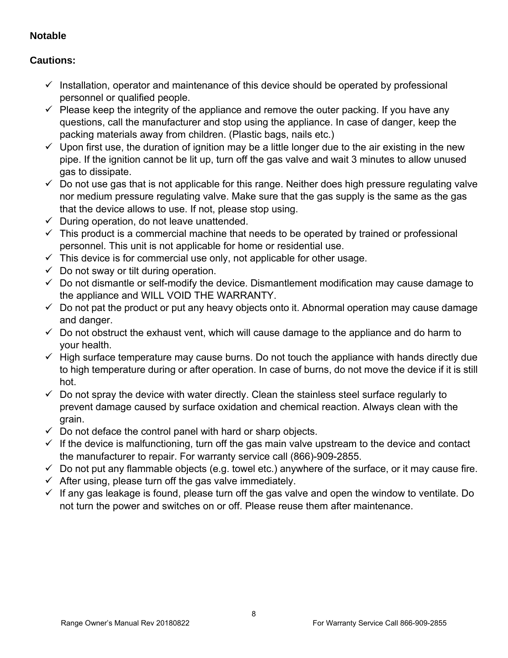## **Notable**

### **Cautions:**

- $\checkmark$  Installation, operator and maintenance of this device should be operated by professional personnel or qualified people.
- $\checkmark$  Please keep the integrity of the appliance and remove the outer packing. If you have any questions, call the manufacturer and stop using the appliance. In case of danger, keep the packing materials away from children. (Plastic bags, nails etc.)
- $\checkmark$  Upon first use, the duration of ignition may be a little longer due to the air existing in the new pipe. If the ignition cannot be lit up, turn off the gas valve and wait 3 minutes to allow unused gas to dissipate.
- $\checkmark$  Do not use gas that is not applicable for this range. Neither does high pressure regulating valve nor medium pressure regulating valve. Make sure that the gas supply is the same as the gas that the device allows to use. If not, please stop using.
- $\checkmark$  During operation, do not leave unattended.
- $\checkmark$  This product is a commercial machine that needs to be operated by trained or professional personnel. This unit is not applicable for home or residential use.
- $\checkmark$  This device is for commercial use only, not applicable for other usage.
- $\checkmark$  Do not sway or tilt during operation.
- $\checkmark$  Do not dismantle or self-modify the device. Dismantlement modification may cause damage to the appliance and WILL VOID THE WARRANTY.
- $\checkmark$  Do not pat the product or put any heavy objects onto it. Abnormal operation may cause damage and danger.
- $\checkmark$  Do not obstruct the exhaust vent, which will cause damage to the appliance and do harm to your health.
- $\checkmark$  High surface temperature may cause burns. Do not touch the appliance with hands directly due to high temperature during or after operation. In case of burns, do not move the device if it is still hot.
- $\checkmark$  Do not spray the device with water directly. Clean the stainless steel surface regularly to prevent damage caused by surface oxidation and chemical reaction. Always clean with the grain.
- $\checkmark$  Do not deface the control panel with hard or sharp objects.
- $\checkmark$  If the device is malfunctioning, turn off the gas main valve upstream to the device and contact the manufacturer to repair. For warranty service call (866)-909-2855.
- $\checkmark$  Do not put any flammable objects (e.g. towel etc.) anywhere of the surface, or it may cause fire.
- $\checkmark$  After using, please turn off the gas valve immediately.
- $\checkmark$  If any gas leakage is found, please turn off the gas valve and open the window to ventilate. Do not turn the power and switches on or off. Please reuse them after maintenance.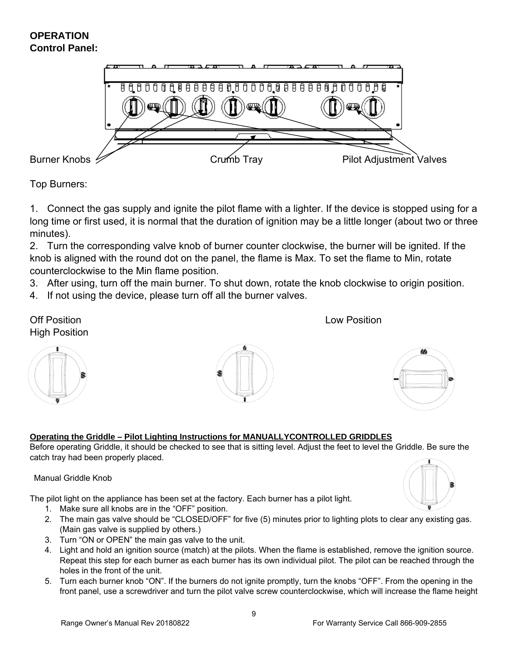## **OPERATION Control Panel:**



Top Burners:

1. Connect the gas supply and ignite the pilot flame with a lighter. If the device is stopped using for a long time or first used, it is normal that the duration of ignition may be a little longer (about two or three minutes).

2. Turn the corresponding valve knob of burner counter clockwise, the burner will be ignited. If the knob is aligned with the round dot on the panel, the flame is Max. To set the flame to Min, rotate counterclockwise to the Min flame position.

3. After using, turn off the main burner. To shut down, rotate the knob clockwise to origin position.

4. If not using the device, please turn off all the burner valves.

Off Position **Low Position** High Position

### **Operating the Griddle – Pilot Lighting Instructions for MANUALLYCONTROLLED GRIDDLES**

Before operating Griddle, it should be checked to see that is sitting level. Adjust the feet to level the Griddle. Be sure the catch tray had been properly placed.

### Manual Griddle Knob

The pilot light on the appliance has been set at the factory. Each burner has a pilot light.

- 1. Make sure all knobs are in the "OFF" position.
- 2. The main gas valve should be "CLOSED/OFF" for five (5) minutes prior to lighting plots to clear any existing gas. (Main gas valve is supplied by others.)
- 3. Turn "ON or OPEN" the main gas valve to the unit.
- 4. Light and hold an ignition source (match) at the pilots. When the flame is established, remove the ignition source. Repeat this step for each burner as each burner has its own individual pilot. The pilot can be reached through the holes in the front of the unit.
- 5. Turn each burner knob "ON". If the burners do not ignite promptly, turn the knobs "OFF". From the opening in the front panel, use a screwdriver and turn the pilot valve screw counterclockwise, which will increase the flame height

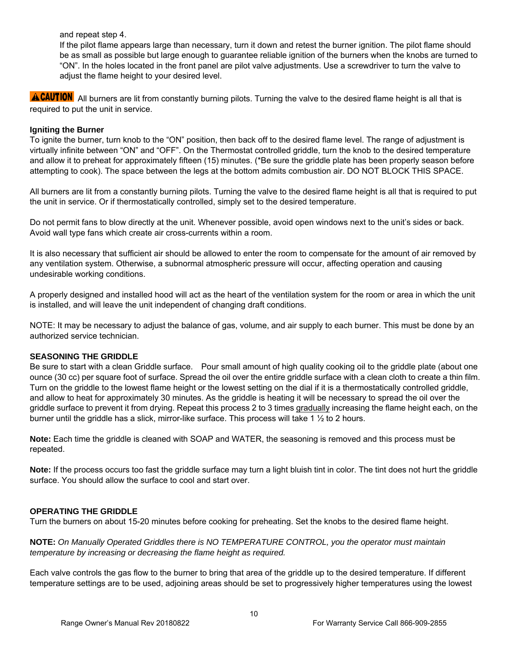and repeat step 4.

If the pilot flame appears large than necessary, turn it down and retest the burner ignition. The pilot flame should be as small as possible but large enough to guarantee reliable ignition of the burners when the knobs are turned to "ON". In the holes located in the front panel are pilot valve adjustments. Use a screwdriver to turn the valve to adjust the flame height to your desired level.

**ACAUTION** All burners are lit from constantly burning pilots. Turning the valve to the desired flame height is all that is required to put the unit in service.

### **Igniting the Burner**

To ignite the burner, turn knob to the "ON" position, then back off to the desired flame level. The range of adjustment is virtually infinite between "ON" and "OFF". On the Thermostat controlled griddle, turn the knob to the desired temperature and allow it to preheat for approximately fifteen (15) minutes. (\*Be sure the griddle plate has been properly season before attempting to cook). The space between the legs at the bottom admits combustion air. DO NOT BLOCK THIS SPACE.

All burners are lit from a constantly burning pilots. Turning the valve to the desired flame height is all that is required to put the unit in service. Or if thermostatically controlled, simply set to the desired temperature.

Do not permit fans to blow directly at the unit. Whenever possible, avoid open windows next to the unit's sides or back. Avoid wall type fans which create air cross-currents within a room.

It is also necessary that sufficient air should be allowed to enter the room to compensate for the amount of air removed by any ventilation system. Otherwise, a subnormal atmospheric pressure will occur, affecting operation and causing undesirable working conditions.

A properly designed and installed hood will act as the heart of the ventilation system for the room or area in which the unit is installed, and will leave the unit independent of changing draft conditions.

NOTE: It may be necessary to adjust the balance of gas, volume, and air supply to each burner. This must be done by an authorized service technician.

### **SEASONING THE GRIDDLE**

Be sure to start with a clean Griddle surface. Pour small amount of high quality cooking oil to the griddle plate (about one ounce (30 cc) per square foot of surface. Spread the oil over the entire griddle surface with a clean cloth to create a thin film. Turn on the griddle to the lowest flame height or the lowest setting on the dial if it is a thermostatically controlled griddle, and allow to heat for approximately 30 minutes. As the griddle is heating it will be necessary to spread the oil over the griddle surface to prevent it from drying. Repeat this process 2 to 3 times gradually increasing the flame height each, on the burner until the griddle has a slick, mirror-like surface. This process will take 1 ½ to 2 hours.

**Note:** Each time the griddle is cleaned with SOAP and WATER, the seasoning is removed and this process must be repeated.

**Note:** If the process occurs too fast the griddle surface may turn a light bluish tint in color. The tint does not hurt the griddle surface. You should allow the surface to cool and start over.

### **OPERATING THE GRIDDLE**

Turn the burners on about 15-20 minutes before cooking for preheating. Set the knobs to the desired flame height.

**NOTE:** *On Manually Operated Griddles there is NO TEMPERATURE CONTROL, you the operator must maintain temperature by increasing or decreasing the flame height as required.* 

Each valve controls the gas flow to the burner to bring that area of the griddle up to the desired temperature. If different temperature settings are to be used, adjoining areas should be set to progressively higher temperatures using the lowest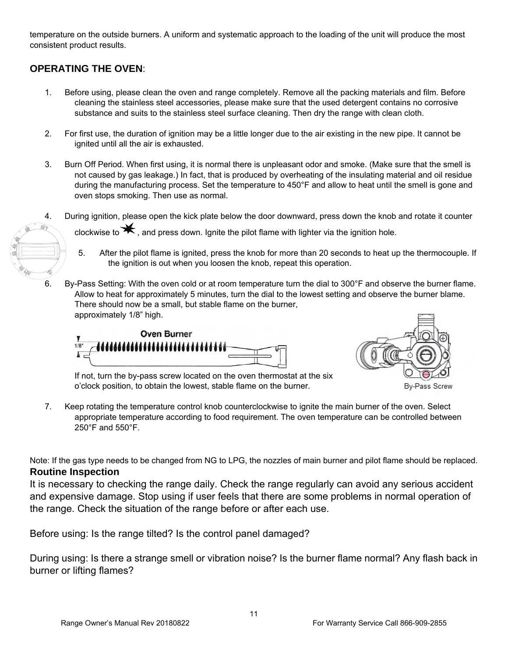temperature on the outside burners. A uniform and systematic approach to the loading of the unit will produce the most consistent product results.

### **OPERATING THE OVEN**:

- 1. Before using, please clean the oven and range completely. Remove all the packing materials and film. Before cleaning the stainless steel accessories, please make sure that the used detergent contains no corrosive substance and suits to the stainless steel surface cleaning. Then dry the range with clean cloth.
- 2. For first use, the duration of ignition may be a little longer due to the air existing in the new pipe. It cannot be ignited until all the air is exhausted.
- 3. Burn Off Period. When first using, it is normal there is unpleasant odor and smoke. (Make sure that the smell is not caused by gas leakage.) In fact, that is produced by overheating of the insulating material and oil residue during the manufacturing process. Set the temperature to 450°F and allow to heat until the smell is gone and oven stops smoking. Then use as normal.
- 4. During ignition, please open the kick plate below the door downward, press down the knob and rotate it counter

clockwise to  $\bigstar$ , and press down. Ignite the pilot flame with lighter via the ignition hole.

- 5. After the pilot flame is ignited, press the knob for more than 20 seconds to heat up the thermocouple. If the ignition is out when you loosen the knob, repeat this operation.
- 6. By-Pass Setting: With the oven cold or at room temperature turn the dial to 300°F and observe the burner flame. Allow to heat for approximately 5 minutes, turn the dial to the lowest setting and observe the burner blame. There should now be a small, but stable flame on the burner, approximately 1/8" high.





If not, turn the by-pass screw located on the oven thermostat at the six o'clock position, to obtain the lowest, stable flame on the burner.

- 
- 7. Keep rotating the temperature control knob counterclockwise to ignite the main burner of the oven. Select appropriate temperature according to food requirement. The oven temperature can be controlled between 250°F and 550°F.

Note: If the gas type needs to be changed from NG to LPG, the nozzles of main burner and pilot flame should be replaced. **Routine Inspection** 

It is necessary to checking the range daily. Check the range regularly can avoid any serious accident and expensive damage. Stop using if user feels that there are some problems in normal operation of the range. Check the situation of the range before or after each use.

Before using: Is the range tilted? Is the control panel damaged?

During using: Is there a strange smell or vibration noise? Is the burner flame normal? Any flash back in burner or lifting flames?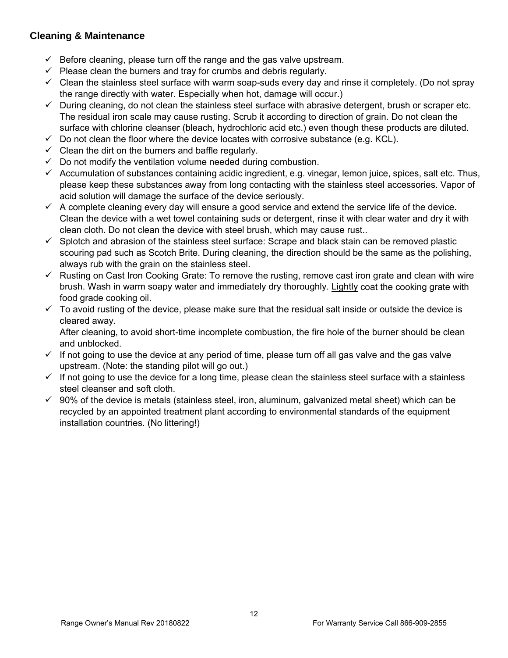### **Cleaning & Maintenance**

- $\checkmark$  Before cleaning, please turn off the range and the gas valve upstream.
- $\checkmark$  Please clean the burners and tray for crumbs and debris regularly.
- $\checkmark$  Clean the stainless steel surface with warm soap-suds every day and rinse it completely. (Do not spray the range directly with water. Especially when hot, damage will occur.)
- $\checkmark$  During cleaning, do not clean the stainless steel surface with abrasive detergent, brush or scraper etc. The residual iron scale may cause rusting. Scrub it according to direction of grain. Do not clean the surface with chlorine cleanser (bleach, hydrochloric acid etc.) even though these products are diluted.
- $\checkmark$  Do not clean the floor where the device locates with corrosive substance (e.g. KCL).
- $\checkmark$  Clean the dirt on the burners and baffle regularly.
- $\checkmark$  Do not modify the ventilation volume needed during combustion.
- $\checkmark$  Accumulation of substances containing acidic ingredient, e.g. vinegar, lemon juice, spices, salt etc. Thus, please keep these substances away from long contacting with the stainless steel accessories. Vapor of acid solution will damage the surface of the device seriously.
- $\checkmark$  A complete cleaning every day will ensure a good service and extend the service life of the device. Clean the device with a wet towel containing suds or detergent, rinse it with clear water and dry it with clean cloth. Do not clean the device with steel brush, which may cause rust..
- $\checkmark$  Splotch and abrasion of the stainless steel surface: Scrape and black stain can be removed plastic scouring pad such as Scotch Brite. During cleaning, the direction should be the same as the polishing, always rub with the grain on the stainless steel.
- $\checkmark$  Rusting on Cast Iron Cooking Grate: To remove the rusting, remove cast iron grate and clean with wire brush. Wash in warm soapy water and immediately dry thoroughly. Lightly coat the cooking grate with food grade cooking oil.
- $\checkmark$  To avoid rusting of the device, please make sure that the residual salt inside or outside the device is cleared away.

After cleaning, to avoid short-time incomplete combustion, the fire hole of the burner should be clean and unblocked.

- $\checkmark$  If not going to use the device at any period of time, please turn off all gas valve and the gas valve upstream. (Note: the standing pilot will go out.)
- $\checkmark$  If not going to use the device for a long time, please clean the stainless steel surface with a stainless steel cleanser and soft cloth.
- $\checkmark$  90% of the device is metals (stainless steel, iron, aluminum, galvanized metal sheet) which can be recycled by an appointed treatment plant according to environmental standards of the equipment installation countries. (No littering!)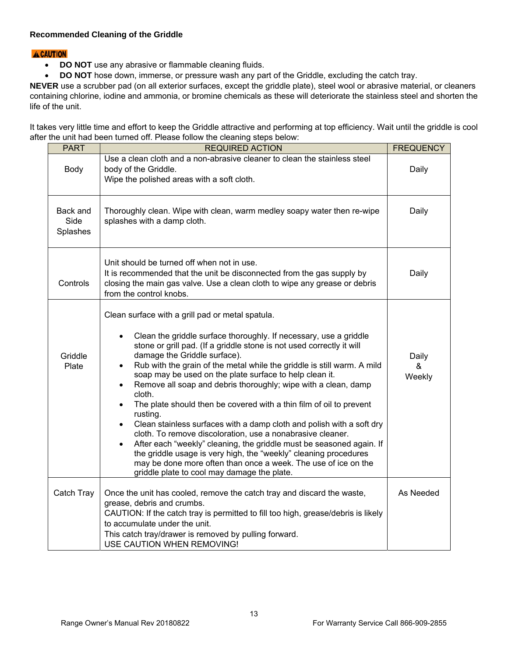### **Recommended Cleaning of the Griddle**

### **A CAUTION**

- **DO NOT** use any abrasive or flammable cleaning fluids.
- **DO NOT** hose down, immerse, or pressure wash any part of the Griddle, excluding the catch tray.

**NEVER** use a scrubber pad (on all exterior surfaces, except the griddle plate), steel wool or abrasive material, or cleaners containing chlorine, iodine and ammonia, or bromine chemicals as these will deteriorate the stainless steel and shorten the life of the unit.

It takes very little time and effort to keep the Griddle attractive and performing at top efficiency. Wait until the griddle is cool after the unit had been turned off. Please follow the cleaning steps below:

| <b>PART</b>                  | in ridd boon tarriod on. I loddo follow the clodimity clope bolow.<br><b>REQUIRED ACTION</b>                                                                                                                                                                                                                                                                                                                                                                                                                                                                                                                                                                                                                                                                                                                                                                                                                                                                      | <b>FREQUENCY</b>     |
|------------------------------|-------------------------------------------------------------------------------------------------------------------------------------------------------------------------------------------------------------------------------------------------------------------------------------------------------------------------------------------------------------------------------------------------------------------------------------------------------------------------------------------------------------------------------------------------------------------------------------------------------------------------------------------------------------------------------------------------------------------------------------------------------------------------------------------------------------------------------------------------------------------------------------------------------------------------------------------------------------------|----------------------|
| Body                         | Use a clean cloth and a non-abrasive cleaner to clean the stainless steel<br>body of the Griddle.<br>Wipe the polished areas with a soft cloth.                                                                                                                                                                                                                                                                                                                                                                                                                                                                                                                                                                                                                                                                                                                                                                                                                   | Daily                |
| Back and<br>Side<br>Splashes | Thoroughly clean. Wipe with clean, warm medley soapy water then re-wipe<br>splashes with a damp cloth.                                                                                                                                                                                                                                                                                                                                                                                                                                                                                                                                                                                                                                                                                                                                                                                                                                                            | Daily                |
| Controls                     | Unit should be turned off when not in use.<br>It is recommended that the unit be disconnected from the gas supply by<br>closing the main gas valve. Use a clean cloth to wipe any grease or debris<br>from the control knobs.                                                                                                                                                                                                                                                                                                                                                                                                                                                                                                                                                                                                                                                                                                                                     | Daily                |
| Griddle<br>Plate             | Clean surface with a grill pad or metal spatula.<br>Clean the griddle surface thoroughly. If necessary, use a griddle<br>stone or grill pad. (If a griddle stone is not used correctly it will<br>damage the Griddle surface).<br>Rub with the grain of the metal while the griddle is still warm. A mild<br>soap may be used on the plate surface to help clean it.<br>Remove all soap and debris thoroughly; wipe with a clean, damp<br>$\bullet$<br>cloth.<br>The plate should then be covered with a thin film of oil to prevent<br>rusting.<br>Clean stainless surfaces with a damp cloth and polish with a soft dry<br>$\bullet$<br>cloth. To remove discoloration, use a nonabrasive cleaner.<br>After each "weekly" cleaning, the griddle must be seasoned again. If<br>the griddle usage is very high, the "weekly" cleaning procedures<br>may be done more often than once a week. The use of ice on the<br>griddle plate to cool may damage the plate. | Daily<br>&<br>Weekly |
| Catch Tray                   | Once the unit has cooled, remove the catch tray and discard the waste,<br>grease, debris and crumbs.<br>CAUTION: If the catch tray is permitted to fill too high, grease/debris is likely<br>to accumulate under the unit.<br>This catch tray/drawer is removed by pulling forward.<br>USE CAUTION WHEN REMOVING!                                                                                                                                                                                                                                                                                                                                                                                                                                                                                                                                                                                                                                                 | As Needed            |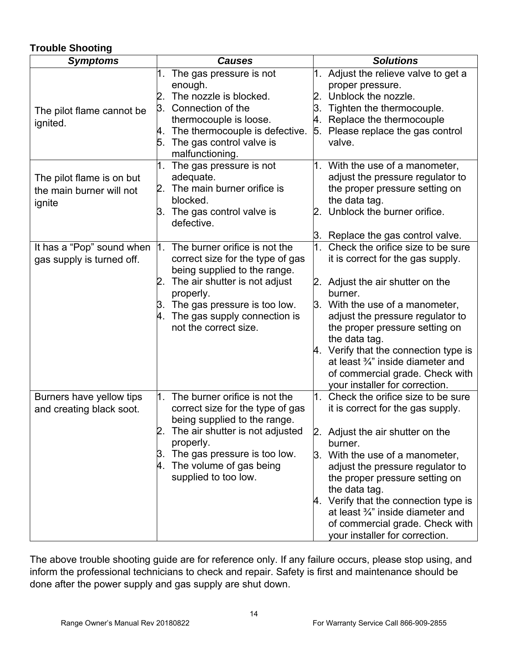## **Trouble Shooting**

| <b>Symptoms</b>                                                 | <b>Causes</b>                                                                                                                                                                                                                                                 | <b>Solutions</b>                                                                                                                                                                                                                                                                                                                                                                                                          |
|-----------------------------------------------------------------|---------------------------------------------------------------------------------------------------------------------------------------------------------------------------------------------------------------------------------------------------------------|---------------------------------------------------------------------------------------------------------------------------------------------------------------------------------------------------------------------------------------------------------------------------------------------------------------------------------------------------------------------------------------------------------------------------|
| The pilot flame cannot be<br>ignited.                           | 1. The gas pressure is not<br>enough.<br>The nozzle is blocked.<br>2.<br>3.<br>Connection of the<br>thermocouple is loose.<br>The thermocouple is defective.<br>4.<br>The gas control valve is<br>5.<br>malfunctioning.                                       | 1. Adjust the relieve valve to get a<br>proper pressure.<br>Unblock the nozzle.<br>2.<br>Tighten the thermocouple.<br>β.<br>Replace the thermocouple<br>4.<br>Please replace the gas control<br>5.<br>valve.                                                                                                                                                                                                              |
| The pilot flame is on but<br>the main burner will not<br>ignite | The gas pressure is not<br>adequate.<br>The main burner orifice is<br>2.<br>blocked.<br>The gas control valve is<br>3.<br>defective.                                                                                                                          | 1. With the use of a manometer,<br>adjust the pressure regulator to<br>the proper pressure setting on<br>the data tag.<br>Unblock the burner orifice.<br>2.<br>3. Replace the gas control valve.                                                                                                                                                                                                                          |
| It has a "Pop" sound when<br>gas supply is turned off.          | 1. The burner orifice is not the<br>correct size for the type of gas<br>being supplied to the range.<br>The air shutter is not adjust<br>2.<br>properly.<br>The gas pressure is too low.<br>З.<br>The gas supply connection is<br>4.<br>not the correct size. | 1.<br>Check the orifice size to be sure<br>it is correct for the gas supply.<br>2. Adjust the air shutter on the<br>burner.<br>With the use of a manometer,<br>3.<br>adjust the pressure regulator to<br>the proper pressure setting on<br>the data tag.<br>Verify that the connection type is<br>4.<br>at least $\frac{3}{4}$ " inside diameter and<br>of commercial grade. Check with<br>your installer for correction. |
| Burners have yellow tips<br>and creating black soot.            | The burner orifice is not the<br>1.<br>correct size for the type of gas<br>being supplied to the range.<br>The air shutter is not adjusted<br>properly.<br>The gas pressure is too low.<br>3.<br>The volume of gas being<br>supplied to too low.              | 1 <sub>1</sub><br>Check the orifice size to be sure<br>it is correct for the gas supply.<br>2. Adjust the air shutter on the<br>burner.<br>With the use of a manometer,<br>3.<br>adjust the pressure regulator to<br>the proper pressure setting on<br>the data tag.<br>4. Verify that the connection type is<br>at least 3/4" inside diameter and<br>of commercial grade. Check with<br>your installer for correction.   |

The above trouble shooting guide are for reference only. If any failure occurs, please stop using, and inform the professional technicians to check and repair. Safety is first and maintenance should be done after the power supply and gas supply are shut down.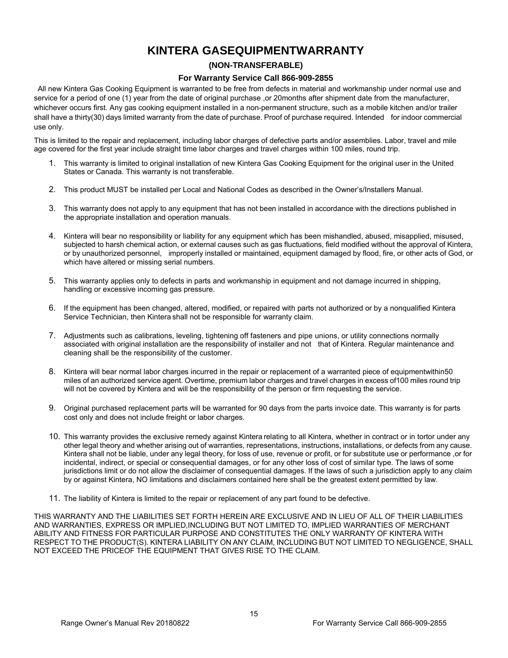# **KINTERA GASEQUIPMENTWARRANTY**

### **(NON-TRANSFERABLE)**

### **For Warranty Service Call 866-909-2855**

All new Kintera Gas Cooking Equipment is warranted to be free from defects in material and workmanship under normal use and service for a period of one (1) year from the date of original purchase ,or 20months after shipment date from the manufacturer, whichever occurs first. Any gas cooking equipment installed in a non-permanent structure, such as a mobile kitchen and/or trailer shall have a thirty(30) days limited warranty from the date of purchase. Proof of purchase required. Intended for indoor commercial use only.

This is limited to the repair and replacement, including labor charges of defective parts and/or assemblies. Labor, travel and mile age covered for the first year include straight time labor charges and travel charges within 100 miles, round trip.

- 1. This warranty is limited to original installation of new Kintera Gas Cooking Equipment for the original user in the United States or Canada. This warranty is not transferable.
- 2. This product MUST be installed per Local and National Codes as described in the Owner's/Installers Manual.
- 3. This warranty does not apply to any equipment that has not been installed in accordance with the directions published in the appropriate installation and operation manuals.
- 4. Kintera will bear no responsibility or liability for any equipment which has been mishandled, abused, misapplied, misused, subjected to harsh chemical action, or external causes such as gas fluctuations, field modified without the approval of Kintera, or by unauthorized personnel, improperly installed or maintained, equipment damaged by flood, fire, or other acts of God, or which have altered or missing serial numbers.
- 5. This warranty applies only to defects in parts and workmanship in equipment and not damage incurred in shipping, handling or excessive incoming gas pressure.
- 6. If the equipment has been changed, altered, modified, or repaired with parts not authorized or by a nonqualified Kintera Service Technician, then Kintera shall not be responsible for warranty claim.
- 7. Adjustments such as calibrations, leveling, tightening off fasteners and pipe unions, or utility connections normally associated with original installation are the responsibility of installer and not that of Kintera. Regular maintenance and cleaning shall be the responsibility of the customer.
- 8. Kintera will bear normal labor charges incurred in the repair or replacement of a warranted piece of equipmentwithin50 miles of an authorized service agent. Overtime, premium labor charges and travel charges in excess of100 miles round trip will not be covered by Kintera and will be the responsibility of the person or firm requesting the service.
- 9. Original purchased replacement parts will be warranted for 90 days from the parts invoice date. This warranty is for parts cost only and does not include freight or labor charges.
- 10. This warranty provides the exclusive remedy against Kintera relating to all Kintera, whether in contract or in tortor under any other legal theory and whether arising out of warranties, representations, instructions, installations, or defects from any cause. Kintera shall not be liable, under any legal theory, for loss of use, revenue or profit, or for substitute use or performance ,or for incidental, indirect, or special or consequential damages, or for any other loss of cost of similar type. The laws of some jurisdictions limit or do not allow the disclaimer of consequential damages. If the laws of such a jurisdiction apply to any claim by or against Kintera, NO limitations and disclaimers contained here shall be the greatest extent permitted by law.
- 11. The liability of Kintera is limited to the repair or replacement of any part found to be defective.

THIS WARRANTY AND THE LIABILITIES SET FORTH HEREIN ARE EXCLUSIVE AND IN LIEU OF ALL OF THEIR LIABILITIES AND WARRANTIES, EXPRESS OR IMPLIED,INCLUDING BUT NOT LIMITED TO, IMPLIED WARRANTIES OF MERCHANT ABILITY AND FITNESS FOR PARTICULAR PURPOSE AND CONSTITUTES THE ONLY WARRANTY OF KINTERA WITH RESPECT TO THE PRODUCT(S). KINTERA LIABILITY ON ANY CLAIM, INCLUDING BUT NOT LIMITED TO NEGLIGENCE, SHALL NOT EXCEED THE PRICEOF THE EQUIPMENT THAT GIVES RISE TO THE CLAIM.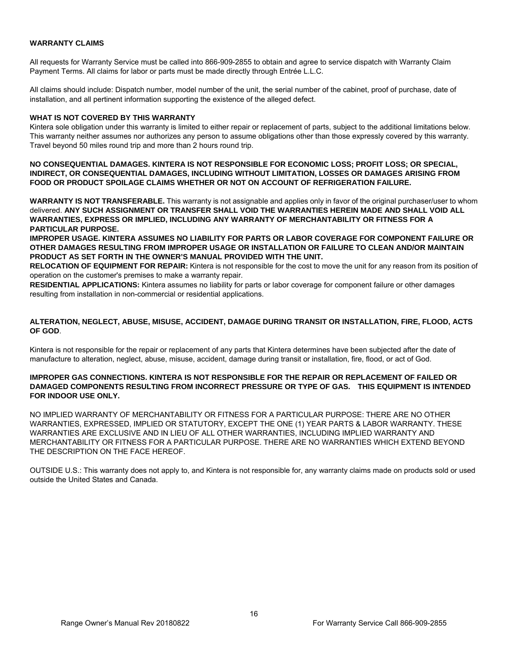#### **WARRANTY CLAIMS**

All requests for Warranty Service must be called into 866-909-2855 to obtain and agree to service dispatch with Warranty Claim Payment Terms. All claims for labor or parts must be made directly through Entrée L.L.C.

All claims should include: Dispatch number, model number of the unit, the serial number of the cabinet, proof of purchase, date of installation, and all pertinent information supporting the existence of the alleged defect.

#### **WHAT IS NOT COVERED BY THIS WARRANTY**

Kintera sole obligation under this warranty is limited to either repair or replacement of parts, subject to the additional limitations below. This warranty neither assumes nor authorizes any person to assume obligations other than those expressly covered by this warranty. Travel beyond 50 miles round trip and more than 2 hours round trip.

**NO CONSEQUENTIAL DAMAGES. KINTERA IS NOT RESPONSIBLE FOR ECONOMIC LOSS; PROFIT LOSS; OR SPECIAL, INDIRECT, OR CONSEQUENTIAL DAMAGES, INCLUDING WITHOUT LIMITATION, LOSSES OR DAMAGES ARISING FROM FOOD OR PRODUCT SPOILAGE CLAIMS WHETHER OR NOT ON ACCOUNT OF REFRIGERATION FAILURE.** 

**WARRANTY IS NOT TRANSFERABLE.** This warranty is not assignable and applies only in favor of the original purchaser/user to whom delivered. **ANY SUCH ASSIGNMENT OR TRANSFER SHALL VOID THE WARRANTIES HEREIN MADE AND SHALL VOID ALL WARRANTIES, EXPRESS OR IMPLIED, INCLUDING ANY WARRANTY OF MERCHANTABILITY OR FITNESS FOR A PARTICULAR PURPOSE.** 

**IMPROPER USAGE. KINTERA ASSUMES NO LIABILITY FOR PARTS OR LABOR COVERAGE FOR COMPONENT FAILURE OR OTHER DAMAGES RESULTING FROM IMPROPER USAGE OR INSTALLATION OR FAILURE TO CLEAN AND/OR MAINTAIN PRODUCT AS SET FORTH IN THE OWNER'S MANUAL PROVIDED WITH THE UNIT.** 

**RELOCATION OF EQUIPMENT FOR REPAIR:** Kintera is not responsible for the cost to move the unit for any reason from its position of operation on the customer's premises to make a warranty repair.

**RESIDENTIAL APPLICATIONS:** Kintera assumes no liability for parts or labor coverage for component failure or other damages resulting from installation in non-commercial or residential applications.

### **ALTERATION, NEGLECT, ABUSE, MISUSE, ACCIDENT, DAMAGE DURING TRANSIT OR INSTALLATION, FIRE, FLOOD, ACTS OF GOD**.

Kintera is not responsible for the repair or replacement of any parts that Kintera determines have been subjected after the date of manufacture to alteration, neglect, abuse, misuse, accident, damage during transit or installation, fire, flood, or act of God.

### **IMPROPER GAS CONNECTIONS. KINTERA IS NOT RESPONSIBLE FOR THE REPAIR OR REPLACEMENT OF FAILED OR DAMAGED COMPONENTS RESULTING FROM INCORRECT PRESSURE OR TYPE OF GAS. THIS EQUIPMENT IS INTENDED FOR INDOOR USE ONLY.**

NO IMPLIED WARRANTY OF MERCHANTABILITY OR FITNESS FOR A PARTICULAR PURPOSE: THERE ARE NO OTHER WARRANTIES, EXPRESSED, IMPLIED OR STATUTORY, EXCEPT THE ONE (1) YEAR PARTS & LABOR WARRANTY. THESE WARRANTIES ARE EXCLUSIVE AND IN LIEU OF ALL OTHER WARRANTIES, INCLUDING IMPLIED WARRANTY AND MERCHANTABILITY OR FITNESS FOR A PARTICULAR PURPOSE. THERE ARE NO WARRANTIES WHICH EXTEND BEYOND THE DESCRIPTION ON THE FACE HEREOF.

OUTSIDE U.S.: This warranty does not apply to, and Kintera is not responsible for, any warranty claims made on products sold or used outside the United States and Canada.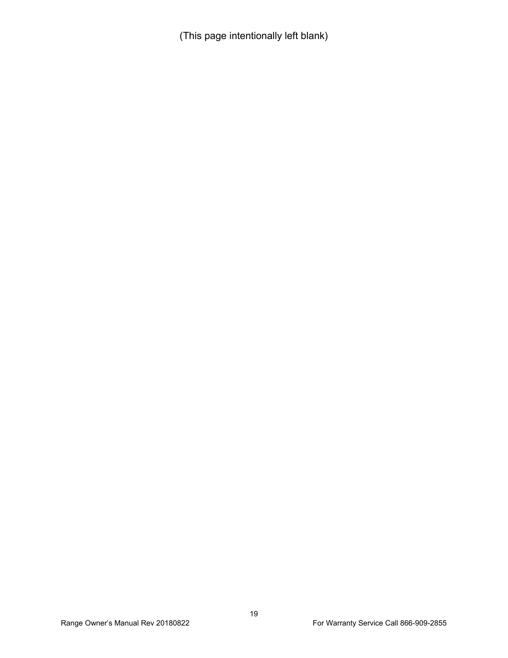(This page intentionally left blank)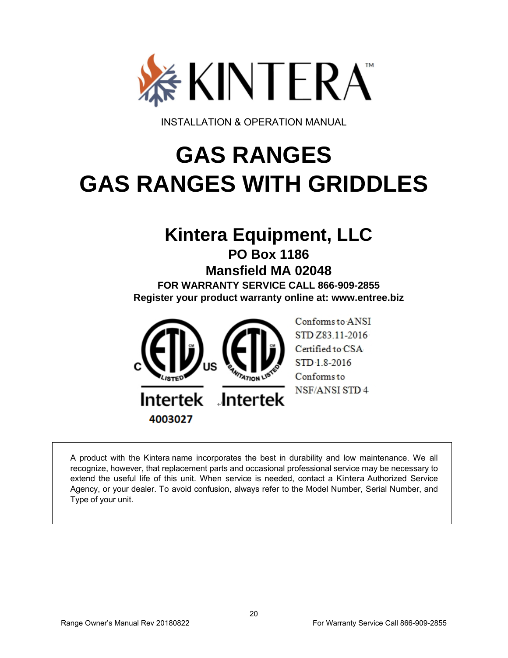

INSTALLATION & OPERATION MANUAL

# **GAS RANGES GAS RANGES WITH GRIDDLES**

# **Kintera Equipment, LLC PO Box 1186**

**Mansfield MA 02048 FOR WARRANTY SERVICE CALL 866-909-2855 Register your product warranty online at: www.entree.biz** 



Conforms to ANSI STD Z83.11-2016 Certified to CSA STD-1.8-2016 Conformsto NSF/ANSI STD 4

A product with the Kintera name incorporates the best in durability and low maintenance. We all recognize, however, that replacement parts and occasional professional service may be necessary to extend the useful life of this unit. When service is needed, contact a Kintera Authorized Service Agency, or your dealer. To avoid confusion, always refer to the Model Number, Serial Number, and Type of your unit.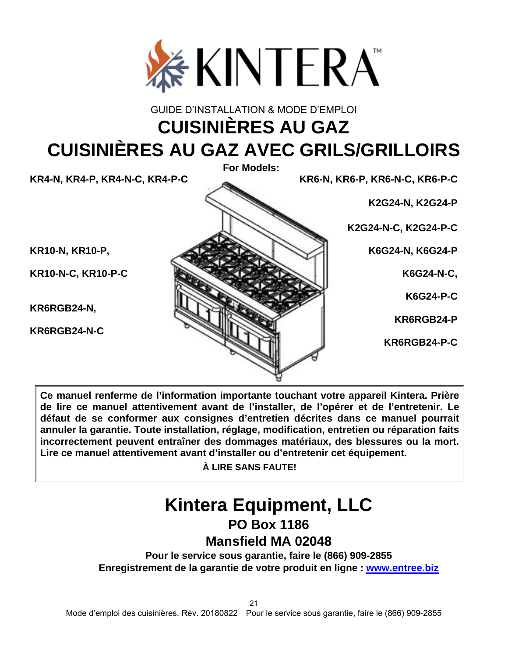

GUIDE D'INSTALLATION & MODE D'EMPLOI

# **CUISINIÈRES AU GAZ**

# **CUISINIÈRES AU GAZ AVEC GRILS/GRILLOIRS**



**Ce manuel renferme de l'information importante touchant votre appareil Kintera. Prière de lire ce manuel attentivement avant de l'installer, de l'opérer et de l'entretenir. Le défaut de se conformer aux consignes d'entretien décrites dans ce manuel pourrait annuler la garantie. Toute installation, réglage, modification, entretien ou réparation faits incorrectement peuvent entraîner des dommages matériaux, des blessures ou la mort. Lire ce manuel attentivement avant d'installer ou d'entretenir cet équipement.** 

**À LIRE SANS FAUTE!** 

# **Kintera Equipment, LLC**

**PO Box 1186** 

**Mansfield MA 02048** 

**Pour le service sous garantie, faire le (866) 909-2855 Enregistrement de la garantie de votre produit en ligne : [www.entree.biz](http://www.entree.biz/)**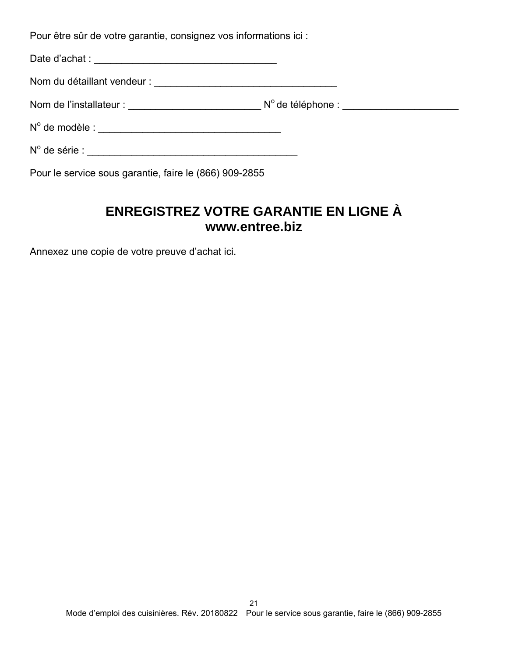Pour être sûr de votre garantie, consignez vos informations ici :

Date d'achat : \_\_\_\_\_\_\_\_\_\_\_\_\_\_\_\_\_\_\_\_\_\_\_\_\_\_\_\_\_\_\_\_\_

Nom du détaillant vendeur : \_\_\_\_\_\_\_\_\_\_\_\_\_\_\_\_\_\_\_\_\_\_\_\_\_\_\_\_\_\_\_\_\_

Nom de l'installateur : \_\_\_\_\_\_\_\_\_\_\_\_\_\_\_\_\_\_\_\_\_\_\_\_ No de téléphone : \_\_\_\_\_\_\_\_\_\_\_\_\_\_\_\_\_\_\_\_\_

No de modèle : \_\_\_\_\_\_\_\_\_\_\_\_\_\_\_\_\_\_\_\_\_\_\_\_\_\_\_\_\_\_\_\_\_

 $N^{\circ}$  de série :  $\sqrt{N^{\circ}}$  de série :  $\sqrt{N^{\circ}}$ 

Pour le service sous garantie, faire le (866) 909-2855

# **ENREGISTREZ VOTRE GARANTIE EN LIGNE À www.entree.biz**

Annexez une copie de votre preuve d'achat ici.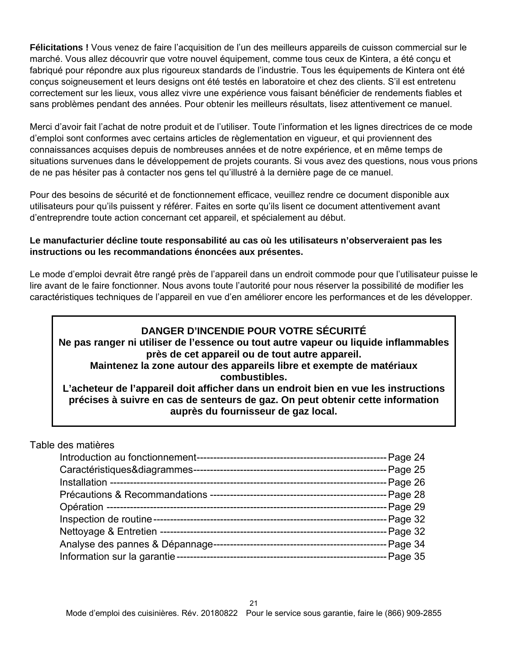**Félicitations !** Vous venez de faire l'acquisition de l'un des meilleurs appareils de cuisson commercial sur le marché. Vous allez découvrir que votre nouvel équipement, comme tous ceux de Kintera, a été conçu et fabriqué pour répondre aux plus rigoureux standards de l'industrie. Tous les équipements de Kintera ont été conçus soigneusement et leurs designs ont été testés en laboratoire et chez des clients. S'il est entretenu correctement sur les lieux, vous allez vivre une expérience vous faisant bénéficier de rendements fiables et sans problèmes pendant des années. Pour obtenir les meilleurs résultats, lisez attentivement ce manuel.

Merci d'avoir fait l'achat de notre produit et de l'utiliser. Toute l'information et les lignes directrices de ce mode d'emploi sont conformes avec certains articles de règlementation en vigueur, et qui proviennent des connaissances acquises depuis de nombreuses années et de notre expérience, et en même temps de situations survenues dans le développement de projets courants. Si vous avez des questions, nous vous prions de ne pas hésiter pas à contacter nos gens tel qu'illustré à la dernière page de ce manuel.

Pour des besoins de sécurité et de fonctionnement efficace, veuillez rendre ce document disponible aux utilisateurs pour qu'ils puissent y référer. Faites en sorte qu'ils lisent ce document attentivement avant d'entreprendre toute action concernant cet appareil, et spécialement au début.

### **Le manufacturier décline toute responsabilité au cas où les utilisateurs n'observeraient pas les instructions ou les recommandations énoncées aux présentes.**

Le mode d'emploi devrait être rangé près de l'appareil dans un endroit commode pour que l'utilisateur puisse le lire avant de le faire fonctionner. Nous avons toute l'autorité pour nous réserver la possibilité de modifier les caractéristiques techniques de l'appareil en vue d'en améliorer encore les performances et de les développer.

## **DANGER D'INCENDIE POUR VOTRE SÉCURITÉ**

**Ne pas ranger ni utiliser de l'essence ou tout autre vapeur ou liquide inflammables près de cet appareil ou de tout autre appareil.** 

**Maintenez la zone autour des appareils libre et exempte de matériaux combustibles.** 

**L'acheteur de l'appareil doit afficher dans un endroit bien en vue les instructions précises à suivre en cas de senteurs de gaz. On peut obtenir cette information auprès du fournisseur de gaz local.**

### Table des matières

|                                 | -Page 24    |
|---------------------------------|-------------|
| Caractéristiques&diagrammes-    | $-$ Page 25 |
|                                 | Page 26     |
|                                 | -Page 28    |
|                                 | -Page 29    |
|                                 | -Page 32    |
|                                 | -Page 32    |
| Analyse des pannes & Dépannage- | -Page 34    |
| Information sur la garantie -   |             |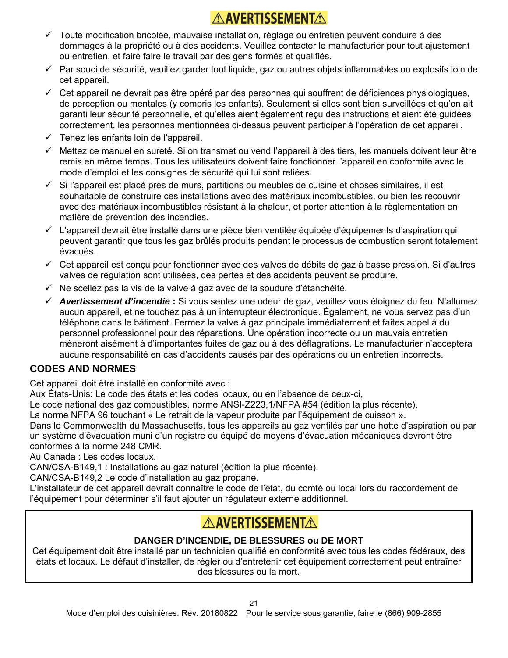# **AVERTISSEMENTA**

- $\checkmark$  Toute modification bricolée, mauvaise installation, réglage ou entretien peuvent conduire à des dommages à la propriété ou à des accidents. Veuillez contacter le manufacturier pour tout ajustement ou entretien, et faire faire le travail par des gens formés et qualifiés.
- $\checkmark$  Par souci de sécurité, veuillez garder tout liquide, gaz ou autres objets inflammables ou explosifs loin de cet appareil.
- $\checkmark$  Cet appareil ne devrait pas être opéré par des personnes qui souffrent de déficiences physiologiques, de perception ou mentales (y compris les enfants). Seulement si elles sont bien surveillées et qu'on ait garanti leur sécurité personnelle, et qu'elles aient également reçu des instructions et aient été guidées correctement, les personnes mentionnées ci-dessus peuvent participer à l'opération de cet appareil.
- $\checkmark$  Tenez les enfants loin de l'appareil.
- $\checkmark$  Mettez ce manuel en sureté. Si on transmet ou vend l'appareil à des tiers, les manuels doivent leur être remis en même temps. Tous les utilisateurs doivent faire fonctionner l'appareil en conformité avec le mode d'emploi et les consignes de sécurité qui lui sont reliées.
- $\checkmark$  Si l'appareil est placé près de murs, partitions ou meubles de cuisine et choses similaires, il est souhaitable de construire ces installations avec des matériaux incombustibles, ou bien les recouvrir avec des matériaux incombustibles résistant à la chaleur, et porter attention à la règlementation en matière de prévention des incendies.
- $\checkmark$  L'appareil devrait être installé dans une pièce bien ventilée équipée d'équipements d'aspiration qui peuvent garantir que tous les gaz brûlés produits pendant le processus de combustion seront totalement évacués.
- $\checkmark$  Cet appareil est conçu pour fonctionner avec des valves de débits de gaz à basse pression. Si d'autres valves de régulation sont utilisées, des pertes et des accidents peuvent se produire.
- $\checkmark$  Ne scellez pas la vis de la valve à gaz avec de la soudure d'étanchéité.
- *Avertissement d'incendie* **:** Si vous sentez une odeur de gaz, veuillez vous éloignez du feu. N'allumez aucun appareil, et ne touchez pas à un interrupteur électronique. Également, ne vous servez pas d'un téléphone dans le bâtiment. Fermez la valve à gaz principale immédiatement et faites appel à du personnel professionnel pour des réparations. Une opération incorrecte ou un mauvais entretien mèneront aisément à d'importantes fuites de gaz ou à des déflagrations. Le manufacturier n'acceptera aucune responsabilité en cas d'accidents causés par des opérations ou un entretien incorrects.

## **CODES AND NORMES**

Cet appareil doit être installé en conformité avec :

Aux États-Unis: Le code des états et les codes locaux, ou en l'absence de ceux-ci,

Le code national des gaz combustibles, norme ANSI-Z223,1/NFPA #54 (édition la plus récente).

La norme NFPA 96 touchant « Le retrait de la vapeur produite par l'équipement de cuisson ».

Dans le Commonwealth du Massachusetts, tous les appareils au gaz ventilés par une hotte d'aspiration ou par un système d'évacuation muni d'un registre ou équipé de moyens d'évacuation mécaniques devront être conformes à la norme 248 CMR.

Au Canada : Les codes locaux.

CAN/CSA-B149,1 : Installations au gaz naturel (édition la plus récente).

CAN/CSA-B149,2 Le code d'installation au gaz propane.

L'installateur de cet appareil devrait connaître le code de l'état, du comté ou local lors du raccordement de l'équipement pour déterminer s'il faut ajouter un régulateur externe additionnel.

# **AVERTISSEMENTA**

### **DANGER D'INCENDIE, DE BLESSURES ou DE MORT**

Cet équipement doit être installé par un technicien qualifié en conformité avec tous les codes fédéraux, des états et locaux. Le défaut d'installer, de régler ou d'entretenir cet équipement correctement peut entraîner des blessures ou la mort.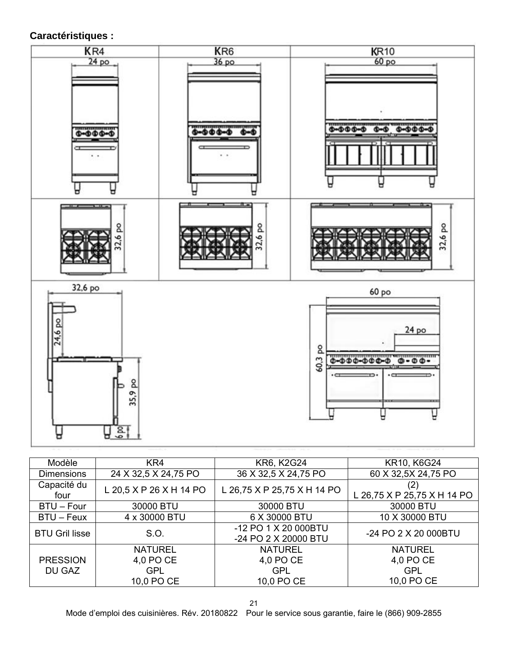### **Caractéristiques :**



| Modèle                | KR4                     | KR6, K2G24                                   | KR10, K6G24                        |
|-----------------------|-------------------------|----------------------------------------------|------------------------------------|
| <b>Dimensions</b>     | 24 X 32,5 X 24,75 PO    | 36 X 32,5 X 24,75 PO                         | 60 X 32,5X 24,75 PO                |
| Capacité du<br>four   | L 20,5 X P 26 X H 14 PO | L 26,75 X P 25,75 X H 14 PO                  | (2)<br>L 26,75 X P 25,75 X H 14 PO |
| $BTU - Four$          | 30000 BTU               | 30000 BTU                                    | 30000 BTU                          |
| $BTU - Feux$          | 4 x 30000 BTU           | 6 X 30000 BTU                                | 10 X 30000 BTU                     |
| <b>BTU Gril lisse</b> | S.O.                    | -12 PO 1 X 20 000BTU<br>-24 PO 2 X 20000 BTU | -24 PO 2 X 20 000BTU               |
|                       | <b>NATUREL</b>          | <b>NATUREL</b>                               | <b>NATUREL</b>                     |
| <b>PRESSION</b>       | 4,0 PO CE               | 4,0 PO CE                                    | 4,0 PO CE                          |
| DU GAZ                | <b>GPL</b>              | <b>GPL</b>                                   | <b>GPL</b>                         |
|                       | 10,0 PO CE              | 10,0 PO CE                                   | 10,0 PO CE                         |

Mode d'emploi des cuisinières. Rév. 20180822 Pour le service sous garantie, faire le (866) 909-2855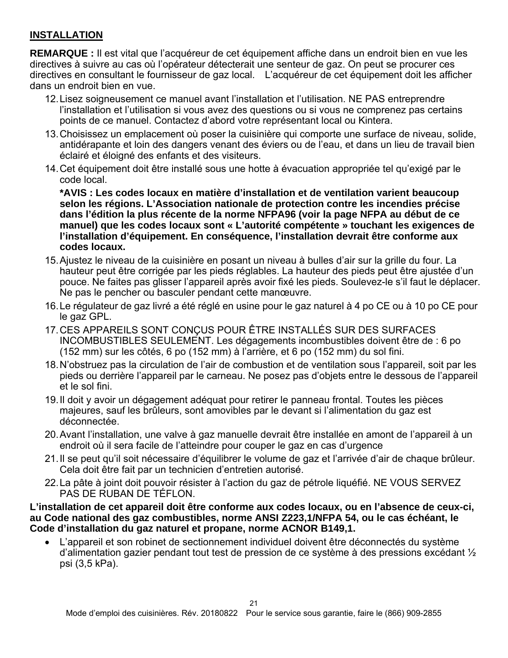### **INSTALLATION**

**REMARQUE :** Il est vital que l'acquéreur de cet équipement affiche dans un endroit bien en vue les directives à suivre au cas où l'opérateur détecterait une senteur de gaz. On peut se procurer ces directives en consultant le fournisseur de gaz local. L'acquéreur de cet équipement doit les afficher dans un endroit bien en vue.

- 12. Lisez soigneusement ce manuel avant l'installation et l'utilisation. NE PAS entreprendre l'installation et l'utilisation si vous avez des questions ou si vous ne comprenez pas certains points de ce manuel. Contactez d'abord votre représentant local ou Kintera.
- 13. Choisissez un emplacement où poser la cuisinière qui comporte une surface de niveau, solide, antidérapante et loin des dangers venant des éviers ou de l'eau, et dans un lieu de travail bien éclairé et éloigné des enfants et des visiteurs.
- 14. Cet équipement doit être installé sous une hotte à évacuation appropriée tel qu'exigé par le code local.

**\*AVIS : Les codes locaux en matière d'installation et de ventilation varient beaucoup selon les régions. L'Association nationale de protection contre les incendies précise dans l'édition la plus récente de la norme NFPA96 (voir la page NFPA au début de ce manuel) que les codes locaux sont « L'autorité compétente » touchant les exigences de l'installation d'équipement. En conséquence, l'installation devrait être conforme aux codes locaux.** 

- 15. Ajustez le niveau de la cuisinière en posant un niveau à bulles d'air sur la grille du four. La hauteur peut être corrigée par les pieds réglables. La hauteur des pieds peut être ajustée d'un pouce. Ne faites pas glisser l'appareil après avoir fixé les pieds. Soulevez-le s'il faut le déplacer. Ne pas le pencher ou basculer pendant cette manœuvre.
- 16. Le régulateur de gaz livré a été réglé en usine pour le gaz naturel à 4 po CE ou à 10 po CE pour le gaz GPL.
- 17. CES APPAREILS SONT CONÇUS POUR ÊTRE INSTALLÉS SUR DES SURFACES INCOMBUSTIBLES SEULEMENT. Les dégagements incombustibles doivent être de : 6 po (152 mm) sur les côtés, 6 po (152 mm) à l'arrière, et 6 po (152 mm) du sol fini.
- 18. N'obstruez pas la circulation de l'air de combustion et de ventilation sous l'appareil, soit par les pieds ou derrière l'appareil par le carneau. Ne posez pas d'objets entre le dessous de l'appareil et le sol fini.
- 19. Il doit y avoir un dégagement adéquat pour retirer le panneau frontal. Toutes les pièces majeures, sauf les brûleurs, sont amovibles par le devant si l'alimentation du gaz est déconnectée.
- 20. Avant l'installation, une valve à gaz manuelle devrait être installée en amont de l'appareil à un endroit où il sera facile de l'atteindre pour couper le gaz en cas d'urgence
- 21. Il se peut qu'il soit nécessaire d'équilibrer le volume de gaz et l'arrivée d'air de chaque brûleur. Cela doit être fait par un technicien d'entretien autorisé.
- 22. La pâte à joint doit pouvoir résister à l'action du gaz de pétrole liquéfié. NE VOUS SERVEZ PAS DE RUBAN DE TÉFLON.

**L'installation de cet appareil doit être conforme aux codes locaux, ou en l'absence de ceux-ci, au Code national des gaz combustibles, norme ANSI Z223,1/NFPA 54, ou le cas échéant, le Code d'installation du gaz naturel et propane, norme ACNOR B149,1.** 

 L'appareil et son robinet de sectionnement individuel doivent être déconnectés du système d'alimentation gazier pendant tout test de pression de ce système à des pressions excédant ½ psi (3,5 kPa).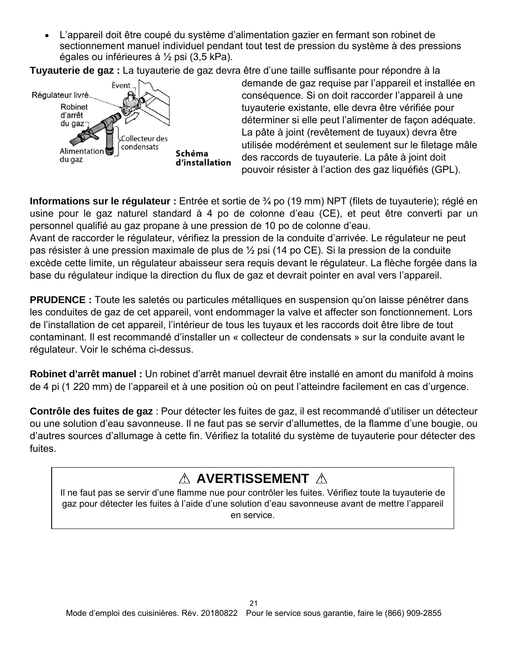L'appareil doit être coupé du système d'alimentation gazier en fermant son robinet de sectionnement manuel individuel pendant tout test de pression du système à des pressions égales ou inférieures à ½ psi (3,5 kPa).

**Tuyauterie de gaz :** La tuyauterie de gaz devra être d'une taille suffisante pour répondre à la



demande de gaz requise par l'appareil et installée en conséquence. Si on doit raccorder l'appareil à une tuyauterie existante, elle devra être vérifiée pour déterminer si elle peut l'alimenter de façon adéquate. La pâte à joint (revêtement de tuyaux) devra être utilisée modérément et seulement sur le filetage mâle des raccords de tuyauterie. La pâte à joint doit pouvoir résister à l'action des gaz liquéfiés (GPL).

**Informations sur le régulateur :** Entrée et sortie de ¾ po (19 mm) NPT (filets de tuyauterie); réglé en usine pour le gaz naturel standard à 4 po de colonne d'eau (CE), et peut être converti par un personnel qualifié au gaz propane à une pression de 10 po de colonne d'eau.

Avant de raccorder le régulateur, vérifiez la pression de la conduite d'arrivée. Le régulateur ne peut pas résister à une pression maximale de plus de ½ psi (14 po CE). Si la pression de la conduite excède cette limite, un régulateur abaisseur sera requis devant le régulateur. La flèche forgée dans la base du régulateur indique la direction du flux de gaz et devrait pointer en aval vers l'appareil.

**PRUDENCE :** Toute les saletés ou particules métalliques en suspension qu'on laisse pénétrer dans les conduites de gaz de cet appareil, vont endommager la valve et affecter son fonctionnement. Lors de l'installation de cet appareil, l'intérieur de tous les tuyaux et les raccords doit être libre de tout contaminant. Il est recommandé d'installer un « collecteur de condensats » sur la conduite avant le régulateur. Voir le schéma ci-dessus.

**Robinet d'arrêt manuel :** Un robinet d'arrêt manuel devrait être installé en amont du manifold à moins de 4 pi (1 220 mm) de l'appareil et à une position où on peut l'atteindre facilement en cas d'urgence.

**Contrôle des fuites de gaz** : Pour détecter les fuites de gaz, il est recommandé d'utiliser un détecteur ou une solution d'eau savonneuse. Il ne faut pas se servir d'allumettes, de la flamme d'une bougie, ou d'autres sources d'allumage à cette fin. Vérifiez la totalité du système de tuyauterie pour détecter des fuites.

# **A AVERTISSEMENT A**

Il ne faut pas se servir d'une flamme nue pour contrôler les fuites. Vérifiez toute la tuyauterie de gaz pour détecter les fuites à l'aide d'une solution d'eau savonneuse avant de mettre l'appareil en service.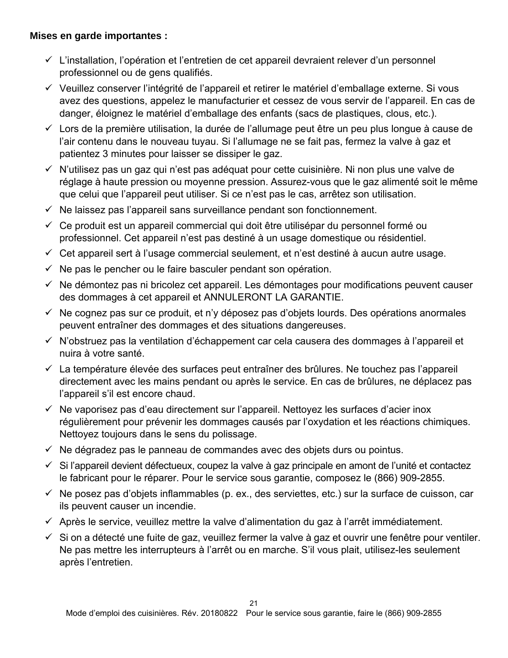### **Mises en garde importantes :**

- $\checkmark$  L'installation, l'opération et l'entretien de cet appareil devraient relever d'un personnel professionnel ou de gens qualifiés.
- $\checkmark$  Veuillez conserver l'intégrité de l'appareil et retirer le matériel d'emballage externe. Si vous avez des questions, appelez le manufacturier et cessez de vous servir de l'appareil. En cas de danger, éloignez le matériel d'emballage des enfants (sacs de plastiques, clous, etc.).
- $\checkmark$  Lors de la première utilisation, la durée de l'allumage peut être un peu plus longue à cause de l'air contenu dans le nouveau tuyau. Si l'allumage ne se fait pas, fermez la valve à gaz et patientez 3 minutes pour laisser se dissiper le gaz.
- $\checkmark$  N'utilisez pas un gaz qui n'est pas adéquat pour cette cuisinière. Ni non plus une valve de réglage à haute pression ou moyenne pression. Assurez-vous que le gaz alimenté soit le même que celui que l'appareil peut utiliser. Si ce n'est pas le cas, arrêtez son utilisation.
- $\checkmark$  Ne laissez pas l'appareil sans surveillance pendant son fonctionnement.
- $\checkmark$  Ce produit est un appareil commercial qui doit être utilisépar du personnel formé ou professionnel. Cet appareil n'est pas destiné à un usage domestique ou résidentiel.
- $\checkmark$  Cet appareil sert à l'usage commercial seulement, et n'est destiné à aucun autre usage.
- $\checkmark$  Ne pas le pencher ou le faire basculer pendant son opération.
- $\checkmark$  Ne démontez pas ni bricolez cet appareil. Les démontages pour modifications peuvent causer des dommages à cet appareil et ANNULERONT LA GARANTIE.
- $\checkmark$  Ne cognez pas sur ce produit, et n'y déposez pas d'objets lourds. Des opérations anormales peuvent entraîner des dommages et des situations dangereuses.
- $\checkmark$  N'obstruez pas la ventilation d'échappement car cela causera des dommages à l'appareil et nuira à votre santé.
- $\checkmark$  La température élevée des surfaces peut entraîner des brûlures. Ne touchez pas l'appareil directement avec les mains pendant ou après le service. En cas de brûlures, ne déplacez pas l'appareil s'il est encore chaud.
- $\checkmark$  Ne vaporisez pas d'eau directement sur l'appareil. Nettoyez les surfaces d'acier inox régulièrement pour prévenir les dommages causés par l'oxydation et les réactions chimiques. Nettoyez toujours dans le sens du polissage.
- $\checkmark$  Ne dégradez pas le panneau de commandes avec des objets durs ou pointus.
- Si l'appareil devient défectueux, coupez la valve à gaz principale en amont de l'unité et contactez le fabricant pour le réparer. Pour le service sous garantie, composez le (866) 909-2855.
- $\checkmark$  Ne posez pas d'objets inflammables (p. ex., des serviettes, etc.) sur la surface de cuisson, car ils peuvent causer un incendie.
- $\checkmark$  Après le service, veuillez mettre la valve d'alimentation du gaz à l'arrêt immédiatement.
- $\checkmark$  Si on a détecté une fuite de gaz, veuillez fermer la valve à gaz et ouvrir une fenêtre pour ventiler. Ne pas mettre les interrupteurs à l'arrêt ou en marche. S'il vous plait, utilisez-les seulement après l'entretien.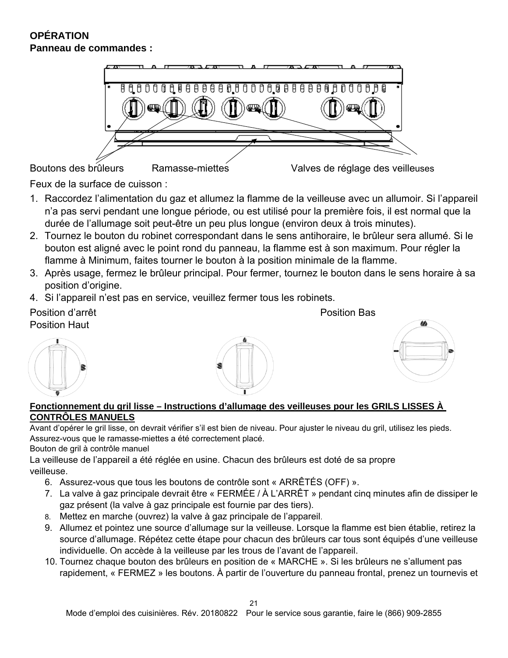## **OPÉRATION Panneau de commandes :**

000000000000000000000 -n a ĦĦ

Boutons des brûleurs Ramasse-miettes Valves de réglage des veilleuses

Feux de la surface de cuisson :

- 1. Raccordez l'alimentation du gaz et allumez la flamme de la veilleuse avec un allumoir. Si l'appareil n'a pas servi pendant une longue période, ou est utilisé pour la première fois, il est normal que la durée de l'allumage soit peut-être un peu plus longue (environ deux à trois minutes).
- 2. Tournez le bouton du robinet correspondant dans le sens antihoraire, le brûleur sera allumé. Si le bouton est aligné avec le point rond du panneau, la flamme est à son maximum. Pour régler la flamme à Minimum, faites tourner le bouton à la position minimale de la flamme.
- 3. Après usage, fermez le brûleur principal. Pour fermer, tournez le bouton dans le sens horaire à sa position d'origine.
- 4. Si l'appareil n'est pas en service, veuillez fermer tous les robinets.



### **Fonctionnement du gril lisse – Instructions d'allumage des veilleuses pour les GRILS LISSES À CONTRÔLES MANUELS**

Avant d'opérer le gril lisse, on devrait vérifier s'il est bien de niveau. Pour ajuster le niveau du gril, utilisez les pieds. Assurez-vous que le ramasse-miettes a été correctement placé.

Bouton de gril à contrôle manuel

La veilleuse de l'appareil a été réglée en usine. Chacun des brûleurs est doté de sa propre veilleuse.

- 6. Assurez-vous que tous les boutons de contrôle sont « ARRÊTÉS (OFF) ».
- 7. La valve à gaz principale devrait être « FERMÉE / À L'ARRÊT » pendant cinq minutes afin de dissiper le gaz présent (la valve à gaz principale est fournie par des tiers).
- 8. Mettez en marche (ouvrez) la valve à gaz principale de l'appareil.
- 9. Allumez et pointez une source d'allumage sur la veilleuse. Lorsque la flamme est bien établie, retirez la source d'allumage. Répétez cette étape pour chacun des brûleurs car tous sont équipés d'une veilleuse individuelle. On accède à la veilleuse par les trous de l'avant de l'appareil.
- 10. Tournez chaque bouton des brûleurs en position de « MARCHE ». Si les brûleurs ne s'allument pas rapidement, « FERMEZ » les boutons. À partir de l'ouverture du panneau frontal, prenez un tournevis et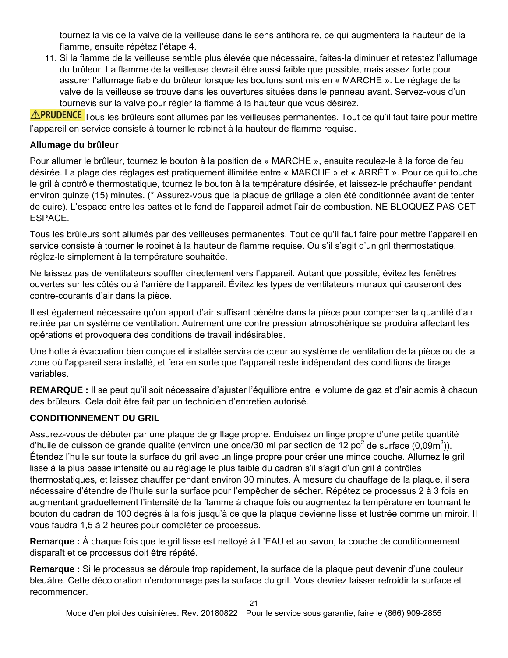tournez la vis de la valve de la veilleuse dans le sens antihoraire, ce qui augmentera la hauteur de la flamme, ensuite répétez l'étape 4.

11. Si la flamme de la veilleuse semble plus élevée que nécessaire, faites-la diminuer et retestez l'allumage du brûleur. La flamme de la veilleuse devrait être aussi faible que possible, mais assez forte pour assurer l'allumage fiable du brûleur lorsque les boutons sont mis en « MARCHE ». Le réglage de la valve de la veilleuse se trouve dans les ouvertures situées dans le panneau avant. Servez-vous d'un tournevis sur la valve pour régler la flamme à la hauteur que vous désirez.

**APRUDENCE** Tous les brûleurs sont allumés par les veilleuses permanentes. Tout ce qu'il faut faire pour mettre l'appareil en service consiste à tourner le robinet à la hauteur de flamme requise.

### **Allumage du brûleur**

Pour allumer le brûleur, tournez le bouton à la position de « MARCHE », ensuite reculez-le à la force de feu désirée. La plage des réglages est pratiquement illimitée entre « MARCHE » et « ARRÊT ». Pour ce qui touche le gril à contrôle thermostatique, tournez le bouton à la température désirée, et laissez-le préchauffer pendant environ quinze (15) minutes. (\* Assurez-vous que la plaque de grillage a bien été conditionnée avant de tenter de cuire). L'espace entre les pattes et le fond de l'appareil admet l'air de combustion. NE BLOQUEZ PAS CET ESPACE.

Tous les brûleurs sont allumés par des veilleuses permanentes. Tout ce qu'il faut faire pour mettre l'appareil en service consiste à tourner le robinet à la hauteur de flamme requise. Ou s'il s'agit d'un gril thermostatique, réglez-le simplement à la température souhaitée.

Ne laissez pas de ventilateurs souffler directement vers l'appareil. Autant que possible, évitez les fenêtres ouvertes sur les côtés ou à l'arrière de l'appareil. Évitez les types de ventilateurs muraux qui causeront des contre-courants d'air dans la pièce.

Il est également nécessaire qu'un apport d'air suffisant pénètre dans la pièce pour compenser la quantité d'air retirée par un système de ventilation. Autrement une contre pression atmosphérique se produira affectant les opérations et provoquera des conditions de travail indésirables.

Une hotte à évacuation bien conçue et installée servira de cœur au système de ventilation de la pièce ou de la zone où l'appareil sera installé, et fera en sorte que l'appareil reste indépendant des conditions de tirage variables.

**REMARQUE :** Il se peut qu'il soit nécessaire d'ajuster l'équilibre entre le volume de gaz et d'air admis à chacun des brûleurs. Cela doit être fait par un technicien d'entretien autorisé.

### **CONDITIONNEMENT DU GRIL**

Assurez-vous de débuter par une plaque de grillage propre. Enduisez un linge propre d'une petite quantité d'huile de cuisson de grande qualité (environ une once/30 ml par section de 12 po<sup>2</sup> de surface (0,09m<sup>2</sup>)). Étendez l'huile sur toute la surface du gril avec un linge propre pour créer une mince couche. Allumez le gril lisse à la plus basse intensité ou au réglage le plus faible du cadran s'il s'agit d'un gril à contrôles thermostatiques, et laissez chauffer pendant environ 30 minutes. À mesure du chauffage de la plaque, il sera nécessaire d'étendre de l'huile sur la surface pour l'empêcher de sécher. Répétez ce processus 2 à 3 fois en augmentant graduellement l'intensité de la flamme à chaque fois ou augmentez la température en tournant le bouton du cadran de 100 degrés à la fois jusqu'à ce que la plaque devienne lisse et lustrée comme un miroir. Il vous faudra 1,5 à 2 heures pour compléter ce processus.

**Remarque :** À chaque fois que le gril lisse est nettoyé à L'EAU et au savon, la couche de conditionnement disparaît et ce processus doit être répété.

**Remarque :** Si le processus se déroule trop rapidement, la surface de la plaque peut devenir d'une couleur bleuâtre. Cette décoloration n'endommage pas la surface du gril. Vous devriez laisser refroidir la surface et recommencer.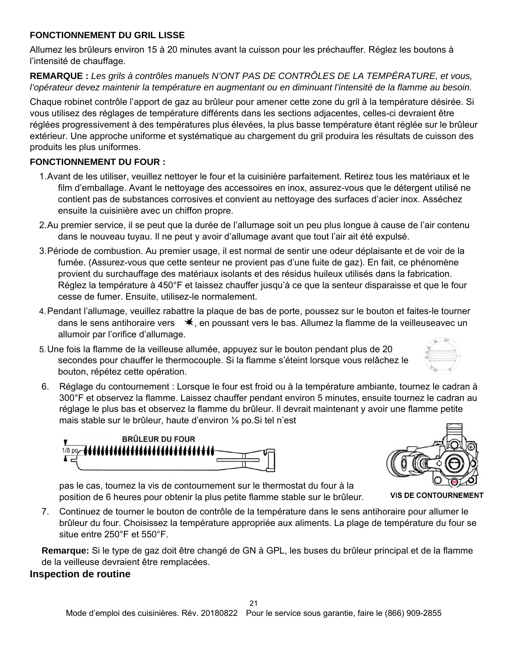### **FONCTIONNEMENT DU GRIL LISSE**

Allumez les brûleurs environ 15 à 20 minutes avant la cuisson pour les préchauffer. Réglez les boutons à l'intensité de chauffage.

**REMARQUE :** *Les grils à contrôles manuels N'ONT PAS DE CONTRÔLES DE LA TEMPÉRATURE, et vous, l'opérateur devez maintenir la température en augmentant ou en diminuant l'intensité de la flamme au besoin.* 

Chaque robinet contrôle l'apport de gaz au brûleur pour amener cette zone du gril à la température désirée. Si vous utilisez des réglages de température différents dans les sections adjacentes, celles-ci devraient être réglées progressivement à des températures plus élevées, la plus basse température étant réglée sur le brûleur extérieur. Une approche uniforme et systématique au chargement du gril produira les résultats de cuisson des produits les plus uniformes.

### **FONCTIONNEMENT DU FOUR :**

- 1. Avant de les utiliser, veuillez nettoyer le four et la cuisinière parfaitement. Retirez tous les matériaux et le film d'emballage. Avant le nettoyage des accessoires en inox, assurez-vous que le détergent utilisé ne contient pas de substances corrosives et convient au nettoyage des surfaces d'acier inox. Asséchez ensuite la cuisinière avec un chiffon propre.
- 2. Au premier service, il se peut que la durée de l'allumage soit un peu plus longue à cause de l'air contenu dans le nouveau tuyau. Il ne peut y avoir d'allumage avant que tout l'air ait été expulsé.
- 3. Période de combustion. Au premier usage, il est normal de sentir une odeur déplaisante et de voir de la fumée. (Assurez-vous que cette senteur ne provient pas d'une fuite de gaz). En fait, ce phénomène provient du surchauffage des matériaux isolants et des résidus huileux utilisés dans la fabrication. Réglez la température à 450°F et laissez chauffer jusqu'à ce que la senteur disparaisse et que le four cesse de fumer. Ensuite, utilisez-le normalement.
- 4. Pendant l'allumage, veuillez rabattre la plaque de bas de porte, poussez sur le bouton et faites-le tourner dans le sens antihoraire vers  $\ast$ , en poussant vers le bas. Allumez la flamme de la veilleuseavec un allumoir par l'orifice d'allumage.
- 5. Une fois la flamme de la veilleuse allumée, appuyez sur le bouton pendant plus de 20 secondes pour chauffer le thermocouple. Si la flamme s'éteint lorsque vous relâchez le bouton, répétez cette opération.



6. Réglage du contournement : Lorsque le four est froid ou à la température ambiante, tournez le cadran à 300°F et observez la flamme. Laissez chauffer pendant environ 5 minutes, ensuite tournez le cadran au réglage le plus bas et observez la flamme du brûleur. Il devrait maintenant y avoir une flamme petite mais stable sur le brûleur, haute d'environ ⅛ po.Si tel n'est





**VIS DE CONTOURNEMENT** 

- pas le cas, tournez la vis de contournement sur le thermostat du four à la position de 6 heures pour obtenir la plus petite flamme stable sur le brûleur.
- 7. Continuez de tourner le bouton de contrôle de la température dans le sens antihoraire pour allumer le brûleur du four. Choisissez la température appropriée aux aliments. La plage de température du four se situe entre 250°F et 550°F.

**Remarque:** Si le type de gaz doit être changé de GN à GPL, les buses du brûleur principal et de la flamme de la veilleuse devraient être remplacées.

### **Inspection de routine**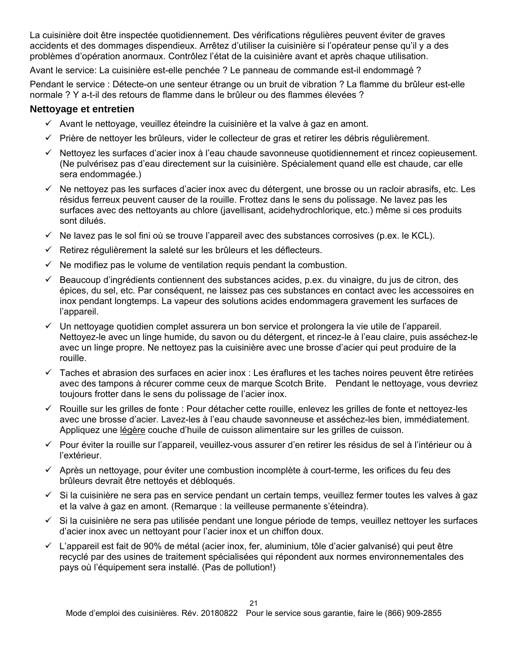La cuisinière doit être inspectée quotidiennement. Des vérifications régulières peuvent éviter de graves accidents et des dommages dispendieux. Arrêtez d'utiliser la cuisinière si l'opérateur pense qu'il y a des problèmes d'opération anormaux. Contrôlez l'état de la cuisinière avant et après chaque utilisation.

Avant le service: La cuisinière est-elle penchée ? Le panneau de commande est-il endommagé ?

Pendant le service : Détecte-on une senteur étrange ou un bruit de vibration ? La flamme du brûleur est-elle normale ? Y a-t-il des retours de flamme dans le brûleur ou des flammes élevées ?

### **Nettoyage et entretien**

- $\checkmark$  Avant le nettoyage, veuillez éteindre la cuisinière et la valve à gaz en amont.
- $\checkmark$  Prière de nettoyer les brûleurs, vider le collecteur de gras et retirer les débris régulièrement.
- $\checkmark$  Nettoyez les surfaces d'acier inox à l'eau chaude savonneuse quotidiennement et rincez copieusement. (Ne pulvérisez pas d'eau directement sur la cuisinière. Spécialement quand elle est chaude, car elle sera endommagée.)
- $\checkmark$  Ne nettoyez pas les surfaces d'acier inox avec du détergent, une brosse ou un racloir abrasifs, etc. Les résidus ferreux peuvent causer de la rouille. Frottez dans le sens du polissage. Ne lavez pas les surfaces avec des nettoyants au chlore (javellisant, acidehydrochlorique, etc.) même si ces produits sont dilués.
- $\checkmark$  Ne lavez pas le sol fini où se trouve l'appareil avec des substances corrosives (p.ex. le KCL).
- Retirez régulièrement la saleté sur les brûleurs et les déflecteurs.
- $\checkmark$  Ne modifiez pas le volume de ventilation requis pendant la combustion.
- $\checkmark$  Beaucoup d'ingrédients contiennent des substances acides, p.ex. du vinaigre, du jus de citron, des épices, du sel, etc. Par conséquent, ne laissez pas ces substances en contact avec les accessoires en inox pendant longtemps. La vapeur des solutions acides endommagera gravement les surfaces de l'appareil.
- $\checkmark$  Un nettoyage quotidien complet assurera un bon service et prolongera la vie utile de l'appareil. Nettoyez-le avec un linge humide, du savon ou du détergent, et rincez-le à l'eau claire, puis asséchez-le avec un linge propre. Ne nettoyez pas la cuisinière avec une brosse d'acier qui peut produire de la rouille.
- $\checkmark$  Taches et abrasion des surfaces en acier inox : Les éraflures et les taches noires peuvent être retirées avec des tampons à récurer comme ceux de marque Scotch Brite. Pendant le nettoyage, vous devriez toujours frotter dans le sens du polissage de l'acier inox.
- $\checkmark$  Rouille sur les grilles de fonte : Pour détacher cette rouille, enlevez les grilles de fonte et nettoyez-les avec une brosse d'acier. Lavez-les à l'eau chaude savonneuse et asséchez-les bien, immédiatement. Appliquez une légère couche d'huile de cuisson alimentaire sur les grilles de cuisson.
- Pour éviter la rouille sur l'appareil, veuillez-vous assurer d'en retirer les résidus de sel à l'intérieur ou à l'extérieur.
- $\checkmark$  Après un nettoyage, pour éviter une combustion incomplète à court-terme, les orifices du feu des brûleurs devrait être nettoyés et débloqués.
- $\checkmark$  Si la cuisinière ne sera pas en service pendant un certain temps, veuillez fermer toutes les valves à gaz et la valve à gaz en amont. (Remarque : la veilleuse permanente s'éteindra).
- $\checkmark$  Si la cuisinière ne sera pas utilisée pendant une longue période de temps, veuillez nettoyer les surfaces d'acier inox avec un nettoyant pour l'acier inox et un chiffon doux.
- L'appareil est fait de 90% de métal (acier inox, fer, aluminium, tôle d'acier galvanisé) qui peut être recyclé par des usines de traitement spécialisées qui répondent aux normes environnementales des pays où l'équipement sera installé. (Pas de pollution!)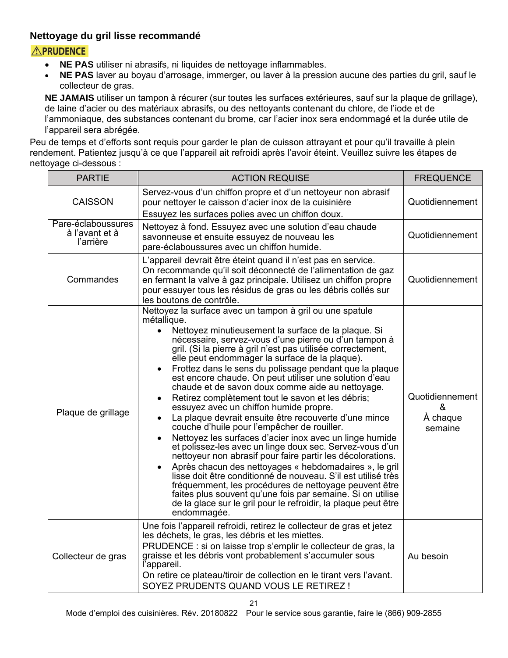### **Nettoyage du gril lisse recommandé**

### **APRUDENCE**

- **NE PAS** utiliser ni abrasifs, ni liquides de nettoyage inflammables.
- **NE PAS** laver au boyau d'arrosage, immerger, ou laver à la pression aucune des parties du gril, sauf le collecteur de gras.

**NE JAMAIS** utiliser un tampon à récurer (sur toutes les surfaces extérieures, sauf sur la plaque de grillage), de laine d'acier ou des matériaux abrasifs, ou des nettoyants contenant du chlore, de l'iode et de l'ammoniaque, des substances contenant du brome, car l'acier inox sera endommagé et la durée utile de l'appareil sera abrégée.

Peu de temps et d'efforts sont requis pour garder le plan de cuisson attrayant et pour qu'il travaille à plein rendement. Patientez jusqu'à ce que l'appareil ait refroidi après l'avoir éteint. Veuillez suivre les étapes de nettoyage ci-dessous :

| <b>PARTIE</b>                                     | <b>ACTION REQUISE</b>                                                                                                                                                                                                                                                                                                                                                                                                                                                                                                                                                                                                                                                                                                                                                                                                                                                                                                                                                                                                                                                                                                                                                                                                                      | <b>FREQUENCE</b>                            |
|---------------------------------------------------|--------------------------------------------------------------------------------------------------------------------------------------------------------------------------------------------------------------------------------------------------------------------------------------------------------------------------------------------------------------------------------------------------------------------------------------------------------------------------------------------------------------------------------------------------------------------------------------------------------------------------------------------------------------------------------------------------------------------------------------------------------------------------------------------------------------------------------------------------------------------------------------------------------------------------------------------------------------------------------------------------------------------------------------------------------------------------------------------------------------------------------------------------------------------------------------------------------------------------------------------|---------------------------------------------|
| <b>CAISSON</b>                                    | Servez-vous d'un chiffon propre et d'un nettoyeur non abrasif<br>pour nettoyer le caisson d'acier inox de la cuisinière<br>Essuyez les surfaces polies avec un chiffon doux.                                                                                                                                                                                                                                                                                                                                                                                                                                                                                                                                                                                                                                                                                                                                                                                                                                                                                                                                                                                                                                                               | Quotidiennement                             |
| Pare-éclaboussures<br>à l'avant et à<br>l'arrière | Nettoyez à fond. Essuyez avec une solution d'eau chaude<br>savonneuse et ensuite essuyez de nouveau les<br>pare-éclaboussures avec un chiffon humide.                                                                                                                                                                                                                                                                                                                                                                                                                                                                                                                                                                                                                                                                                                                                                                                                                                                                                                                                                                                                                                                                                      | Quotidiennement                             |
| Commandes                                         | L'appareil devrait être éteint quand il n'est pas en service.<br>On recommande qu'il soit déconnecté de l'alimentation de gaz<br>en fermant la valve à gaz principale. Utilisez un chiffon propre<br>pour essuyer tous les résidus de gras ou les débris collés sur<br>les boutons de contrôle.                                                                                                                                                                                                                                                                                                                                                                                                                                                                                                                                                                                                                                                                                                                                                                                                                                                                                                                                            | Quotidiennement                             |
| Plaque de grillage                                | Nettoyez la surface avec un tampon à gril ou une spatule<br>métallique.<br>Nettoyez minutieusement la surface de la plaque. Si<br>$\bullet$<br>nécessaire, servez-vous d'une pierre ou d'un tampon à<br>gril. (Si la pierre à gril n'est pas utilisée correctement,<br>elle peut endommager la surface de la plaque).<br>Frottez dans le sens du polissage pendant que la plaque<br>est encore chaude. On peut utiliser une solution d'eau<br>chaude et de savon doux comme aide au nettoyage.<br>Retirez complètement tout le savon et les débris;<br>$\bullet$<br>essuyez avec un chiffon humide propre.<br>La plaque devrait ensuite être recouverte d'une mince<br>couche d'huile pour l'empêcher de rouiller.<br>Nettoyez les surfaces d'acier inox avec un linge humide<br>et polissez-les avec un linge doux sec. Servez-vous d'un<br>nettoyeur non abrasif pour faire partir les décolorations.<br>Après chacun des nettoyages « hebdomadaires », le gril<br>lisse doit être conditionné de nouveau. S'il est utilisé très<br>fréquemment, les procédures de nettoyage peuvent être<br>faites plus souvent qu'une fois par semaine. Si on utilise<br>de la glace sur le gril pour le refroidir, la plaque peut être<br>endommagée. | Quotidiennement<br>&<br>À chaque<br>semaine |
| Collecteur de gras                                | Une fois l'appareil refroidi, retirez le collecteur de gras et jetez<br>les déchets, le gras, les débris et les miettes.<br>PRUDENCE : si on laisse trop s'emplir le collecteur de gras, la<br>graisse et les débris vont probablement s'accumuler sous<br>l'appareil.<br>On retire ce plateau/tiroir de collection en le tirant vers l'avant.<br>SOYEZ PRUDENTS QUAND VOUS LE RETIREZ !                                                                                                                                                                                                                                                                                                                                                                                                                                                                                                                                                                                                                                                                                                                                                                                                                                                   | Au besoin                                   |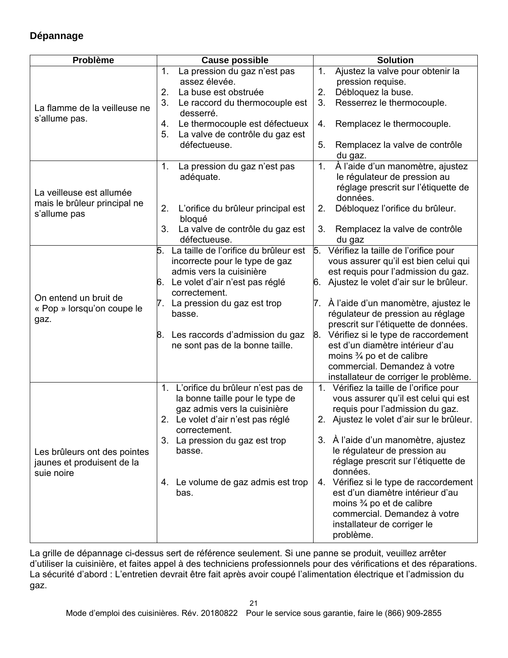### **Dépannage**

| Problème                                                   | <b>Cause possible</b>                                                                                                                        | <b>Solution</b>                                                                                                                                                                                               |
|------------------------------------------------------------|----------------------------------------------------------------------------------------------------------------------------------------------|---------------------------------------------------------------------------------------------------------------------------------------------------------------------------------------------------------------|
|                                                            | La pression du gaz n'est pas<br>1.                                                                                                           | Ajustez la valve pour obtenir la<br>1.                                                                                                                                                                        |
|                                                            | assez élevée.                                                                                                                                | pression requise.                                                                                                                                                                                             |
|                                                            | La buse est obstruée<br>2.                                                                                                                   | Débloquez la buse.<br>2.                                                                                                                                                                                      |
| La flamme de la veilleuse ne                               | 3.<br>Le raccord du thermocouple est<br>desserré.                                                                                            | Resserrez le thermocouple.<br>3.                                                                                                                                                                              |
| s'allume pas.                                              | Le thermocouple est défectueux<br>4.<br>La valve de contrôle du gaz est<br>5.                                                                | Remplacez le thermocouple.<br>4.                                                                                                                                                                              |
|                                                            | défectueuse.                                                                                                                                 | Remplacez la valve de contrôle<br>5.<br>du gaz.                                                                                                                                                               |
| La veilleuse est allumée                                   | La pression du gaz n'est pas<br>1.<br>adéquate.                                                                                              | À l'aide d'un manomètre, ajustez<br>1.<br>le régulateur de pression au<br>réglage prescrit sur l'étiquette de<br>données.                                                                                     |
| mais le brûleur principal ne<br>s'allume pas               | 2.<br>L'orifice du brûleur principal est<br>bloqué                                                                                           | Débloquez l'orifice du brûleur.<br>2.                                                                                                                                                                         |
|                                                            | 3.<br>La valve de contrôle du gaz est<br>défectueuse.                                                                                        | Remplacez la valve de contrôle<br>3.<br>du gaz                                                                                                                                                                |
|                                                            | 5.<br>La taille de l'orifice du brûleur est<br>incorrecte pour le type de gaz<br>admis vers la cuisinière                                    | 5.<br>Vérifiez la taille de l'orifice pour<br>vous assurer qu'il est bien celui qui<br>est requis pour l'admission du gaz.                                                                                    |
| On entend un bruit de                                      | 6. Le volet d'air n'est pas réglé<br>correctement.                                                                                           | Ajustez le volet d'air sur le brûleur.<br>6.                                                                                                                                                                  |
| « Pop » lorsqu'on coupe le<br>gaz.                         | La pression du gaz est trop<br>7.<br>basse.                                                                                                  | À l'aide d'un manomètre, ajustez le<br>7.<br>régulateur de pression au réglage<br>prescrit sur l'étiquette de données.                                                                                        |
|                                                            | Les raccords d'admission du gaz<br>8.<br>ne sont pas de la bonne taille.                                                                     | Vérifiez si le type de raccordement<br>8.<br>est d'un diamètre intérieur d'au<br>moins 3/4 po et de calibre<br>commercial. Demandez à votre                                                                   |
|                                                            |                                                                                                                                              | installateur de corriger le problème.                                                                                                                                                                         |
|                                                            | 1. L'orifice du brûleur n'est pas de<br>la bonne taille pour le type de<br>gaz admis vers la cuisinière<br>2. Le volet d'air n'est pas réglé | 1. Vérifiez la taille de l'orifice pour<br>vous assurer qu'il est celui qui est<br>requis pour l'admission du gaz.<br>2. Ajustez le volet d'air sur le brûleur.                                               |
| Les brûleurs ont des pointes<br>jaunes et produisent de la | correctement.<br>3. La pression du gaz est trop<br>basse.                                                                                    | 3. À l'aide d'un manomètre, ajustez<br>le régulateur de pression au<br>réglage prescrit sur l'étiquette de                                                                                                    |
| suie noire                                                 | 4. Le volume de gaz admis est trop<br>bas.                                                                                                   | données.<br>Vérifiez si le type de raccordement<br>4.<br>est d'un diamètre intérieur d'au<br>moins $\frac{3}{4}$ po et de calibre<br>commercial. Demandez à votre<br>installateur de corriger le<br>problème. |

La grille de dépannage ci-dessus sert de référence seulement. Si une panne se produit, veuillez arrêter d'utiliser la cuisinière, et faites appel à des techniciens professionnels pour des vérifications et des réparations. La sécurité d'abord : L'entretien devrait être fait après avoir coupé l'alimentation électrique et l'admission du gaz.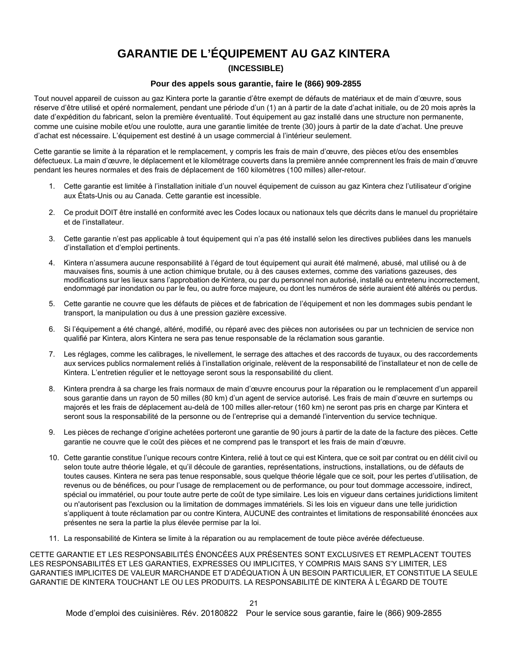## **GARANTIE DE L'ÉQUIPEMENT AU GAZ KINTERA (INCESSIBLE)**

### **Pour des appels sous garantie, faire le (866) 909-2855**

Tout nouvel appareil de cuisson au gaz Kintera porte la garantie d'être exempt de défauts de matériaux et de main d'œuvre, sous réserve d'être utilisé et opéré normalement, pendant une période d'un (1) an à partir de la date d'achat initiale, ou de 20 mois après la date d'expédition du fabricant, selon la première éventualité. Tout équipement au gaz installé dans une structure non permanente, comme une cuisine mobile et/ou une roulotte, aura une garantie limitée de trente (30) jours à partir de la date d'achat. Une preuve d'achat est nécessaire. L'équipement est destiné à un usage commercial à l'intérieur seulement.

Cette garantie se limite à la réparation et le remplacement, y compris les frais de main d'œuvre, des pièces et/ou des ensembles défectueux. La main d'œuvre, le déplacement et le kilométrage couverts dans la première année comprennent les frais de main d'œuvre pendant les heures normales et des frais de déplacement de 160 kilomètres (100 milles) aller-retour.

- 1. Cette garantie est limitée à l'installation initiale d'un nouvel équipement de cuisson au gaz Kintera chez l'utilisateur d'origine aux États-Unis ou au Canada. Cette garantie est incessible.
- 2. Ce produit DOIT être installé en conformité avec les Codes locaux ou nationaux tels que décrits dans le manuel du propriétaire et de l'installateur.
- 3. Cette garantie n'est pas applicable à tout équipement qui n'a pas été installé selon les directives publiées dans les manuels d'installation et d'emploi pertinents.
- 4. Kintera n'assumera aucune responsabilité à l'égard de tout équipement qui aurait été malmené, abusé, mal utilisé ou à de mauvaises fins, soumis à une action chimique brutale, ou à des causes externes, comme des variations gazeuses, des modifications sur les lieux sans l'approbation de Kintera, ou par du personnel non autorisé, installé ou entretenu incorrectement, endommagé par inondation ou par le feu, ou autre force majeure, ou dont les numéros de série auraient été altérés ou perdus.
- 5. Cette garantie ne couvre que les défauts de pièces et de fabrication de l'équipement et non les dommages subis pendant le transport, la manipulation ou dus à une pression gazière excessive.
- 6. Si l'équipement a été changé, altéré, modifié, ou réparé avec des pièces non autorisées ou par un technicien de service non qualifié par Kintera, alors Kintera ne sera pas tenue responsable de la réclamation sous garantie.
- 7. Les réglages, comme les calibrages, le nivellement, le serrage des attaches et des raccords de tuyaux, ou des raccordements aux services publics normalement reliés à l'installation originale, relèvent de la responsabilité de l'installateur et non de celle de Kintera. L'entretien régulier et le nettoyage seront sous la responsabilité du client.
- 8. Kintera prendra à sa charge les frais normaux de main d'œuvre encourus pour la réparation ou le remplacement d'un appareil sous garantie dans un rayon de 50 milles (80 km) d'un agent de service autorisé. Les frais de main d'œuvre en surtemps ou majorés et les frais de déplacement au-delà de 100 milles aller-retour (160 km) ne seront pas pris en charge par Kintera et seront sous la responsabilité de la personne ou de l'entreprise qui a demandé l'intervention du service technique.
- 9. Les pièces de rechange d'origine achetées porteront une garantie de 90 jours à partir de la date de la facture des pièces. Cette garantie ne couvre que le coût des pièces et ne comprend pas le transport et les frais de main d'œuvre.
- 10. Cette garantie constitue l'unique recours contre Kintera, relié à tout ce qui est Kintera, que ce soit par contrat ou en délit civil ou selon toute autre théorie légale, et qu'il découle de garanties, représentations, instructions, installations, ou de défauts de toutes causes. Kintera ne sera pas tenue responsable, sous quelque théorie légale que ce soit, pour les pertes d'utilisation, de revenus ou de bénéfices, ou pour l'usage de remplacement ou de performance, ou pour tout dommage accessoire, indirect, spécial ou immatériel, ou pour toute autre perte de coût de type similaire. Les lois en vigueur dans certaines juridictions limitent ou n'autorisent pas l'exclusion ou la limitation de dommages immatériels. Si les lois en vigueur dans une telle juridiction s'appliquent à toute réclamation par ou contre Kintera, AUCUNE des contraintes et limitations de responsabilité énoncées aux présentes ne sera la partie la plus élevée permise par la loi.
- 11. La responsabilité de Kintera se limite à la réparation ou au remplacement de toute pièce avérée défectueuse.

CETTE GARANTIE ET LES RESPONSABILITÉS ÉNONCÉES AUX PRÉSENTES SONT EXCLUSIVES ET REMPLACENT TOUTES LES RESPONSABILITÉS ET LES GARANTIES, EXPRESSES OU IMPLICITES, Y COMPRIS MAIS SANS S'Y LIMITER, LES GARANTIES IMPLICITES DE VALEUR MARCHANDE ET D'ADÉQUATION À UN BESOIN PARTICULIER, ET CONSTITUE LA SEULE GARANTIE DE KINTERA TOUCHANT LE OU LES PRODUITS. LA RESPONSABILITÉ DE KINTERA À L'ÉGARD DE TOUTE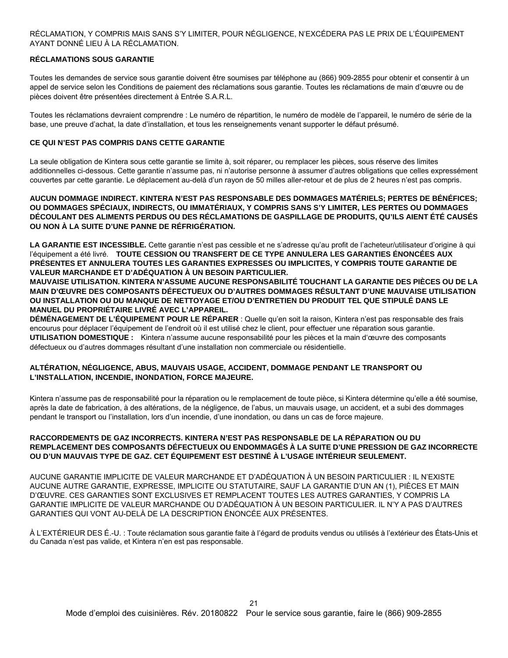RÉCLAMATION, Y COMPRIS MAIS SANS S'Y LIMITER, POUR NÉGLIGENCE, N'EXCÉDERA PAS LE PRIX DE L'ÉQUIPEMENT AYANT DONNÉ LIEU À LA RÉCLAMATION.

### **RÉCLAMATIONS SOUS GARANTIE**

Toutes les demandes de service sous garantie doivent être soumises par téléphone au (866) 909-2855 pour obtenir et consentir à un appel de service selon les Conditions de paiement des réclamations sous garantie. Toutes les réclamations de main d'œuvre ou de pièces doivent être présentées directement à Entrée S.A.R.L.

Toutes les réclamations devraient comprendre : Le numéro de répartition, le numéro de modèle de l'appareil, le numéro de série de la base, une preuve d'achat, la date d'installation, et tous les renseignements venant supporter le défaut présumé.

### **CE QUI N'EST PAS COMPRIS DANS CETTE GARANTIE**

La seule obligation de Kintera sous cette garantie se limite à, soit réparer, ou remplacer les pièces, sous réserve des limites additionnelles ci-dessous. Cette garantie n'assume pas, ni n'autorise personne à assumer d'autres obligations que celles expressément couvertes par cette garantie. Le déplacement au-delà d'un rayon de 50 milles aller-retour et de plus de 2 heures n'est pas compris.

**AUCUN DOMMAGE INDIRECT. KINTERA N'EST PAS RESPONSABLE DES DOMMAGES MATÉRIELS; PERTES DE BÉNÉFICES; OU DOMMAGES SPÉCIAUX, INDIRECTS, OU IMMATÉRIAUX, Y COMPRIS SANS S'Y LIMITER, LES PERTES OU DOMMAGES DÉCOULANT DES ALIMENTS PERDUS OU DES RÉCLAMATIONS DE GASPILLAGE DE PRODUITS, QU'ILS AIENT ÉTÉ CAUSÉS OU NON À LA SUITE D'UNE PANNE DE RÉFRIGÉRATION.** 

LA GARANTIE EST INCESSIBLE. Cette garantie n'est pas cessible et ne s'adresse qu'au profit de l'acheteur/utilisateur d'origine à qui l'équipement a été livré. **TOUTE CESSION OU TRANSFERT DE CE TYPE ANNULERA LES GARANTIES ÉNONCÉES AUX PRÉSENTES ET ANNULERA TOUTES LES GARANTIES EXPRESSES OU IMPLICITES, Y COMPRIS TOUTE GARANTIE DE VALEUR MARCHANDE ET D'ADÉQUATION À UN BESOIN PARTICULIER.** 

**MAUVAISE UTILISATION. KINTERA N'ASSUME AUCUNE RESPONSABILITÉ TOUCHANT LA GARANTIE DES PIÈCES OU DE LA MAIN D'ŒUVRE DES COMPOSANTS DÉFECTUEUX OU D'AUTRES DOMMAGES RÉSULTANT D'UNE MAUVAISE UTILISATION OU INSTALLATION OU DU MANQUE DE NETTOYAGE ET/OU D'ENTRETIEN DU PRODUIT TEL QUE STIPULÉ DANS LE MANUEL DU PROPRIÉTAIRE LIVRÉ AVEC L'APPAREIL.** 

**DÉMÉNAGEMENT DE L'ÉQUIPEMENT POUR LE RÉPARER** : Quelle qu'en soit la raison, Kintera n'est pas responsable des frais encourus pour déplacer l'équipement de l'endroit où il est utilisé chez le client, pour effectuer une réparation sous garantie. **UTILISATION DOMESTIQUE :** Kintera n'assume aucune responsabilité pour les pièces et la main d'œuvre des composants défectueux ou d'autres dommages résultant d'une installation non commerciale ou résidentielle.

### **ALTÉRATION, NÉGLIGENCE, ABUS, MAUVAIS USAGE, ACCIDENT, DOMMAGE PENDANT LE TRANSPORT OU L'INSTALLATION, INCENDIE, INONDATION, FORCE MAJEURE.**

Kintera n'assume pas de responsabilité pour la réparation ou le remplacement de toute pièce, si Kintera détermine qu'elle a été soumise, après la date de fabrication, à des altérations, de la négligence, de l'abus, un mauvais usage, un accident, et a subi des dommages pendant le transport ou l'installation, lors d'un incendie, d'une inondation, ou dans un cas de force majeure.

### **RACCORDEMENTS DE GAZ INCORRECTS. KINTERA N'EST PAS RESPONSABLE DE LA RÉPARATION OU DU REMPLACEMENT DES COMPOSANTS DÉFECTUEUX OU ENDOMMAGÉS À LA SUITE D'UNE PRESSION DE GAZ INCORRECTE OU D'UN MAUVAIS TYPE DE GAZ. CET ÉQUIPEMENT EST DESTINÉ À L'USAGE INTÉRIEUR SEULEMENT.**

AUCUNE GARANTIE IMPLICITE DE VALEUR MARCHANDE ET D'ADÉQUATION À UN BESOIN PARTICULIER : IL N'EXISTE AUCUNE AUTRE GARANTIE, EXPRESSE, IMPLICITE OU STATUTAIRE, SAUF LA GARANTIE D'UN AN (1), PIÈCES ET MAIN D'ŒUVRE. CES GARANTIES SONT EXCLUSIVES ET REMPLACENT TOUTES LES AUTRES GARANTIES, Y COMPRIS LA GARANTIE IMPLICITE DE VALEUR MARCHANDE OU D'ADÉQUATION À UN BESOIN PARTICULIER. IL N'Y A PAS D'AUTRES GARANTIES QUI VONT AU-DELÀ DE LA DESCRIPTION ÉNONCÉE AUX PRÉSENTES.

À L'EXTÉRIEUR DES É.-U. : Toute réclamation sous garantie faite à l'égard de produits vendus ou utilisés à l'extérieur des États-Unis et du Canada n'est pas valide, et Kintera n'en est pas responsable.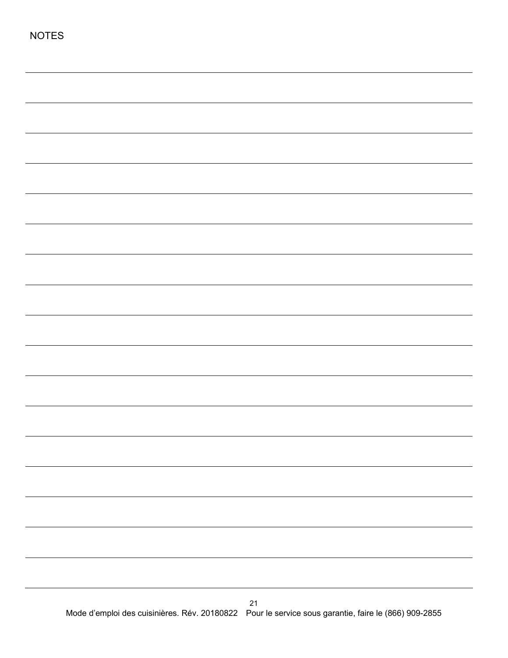| í. |
|----|
|----|

|  | 21<br>Mode d'emploi des cuisinières. Rév. 20180822 Pour le service sous garantie, faire le (866) 909-2855 |
|--|-----------------------------------------------------------------------------------------------------------|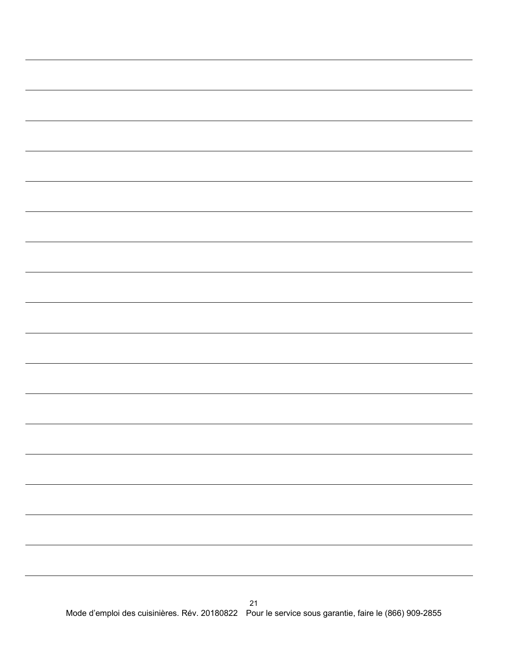Mode d'emploi des cuisinières. Rév. 20180822 Pour le service sous garantie, faire le (866) 909-2855

| I |
|---|
|---|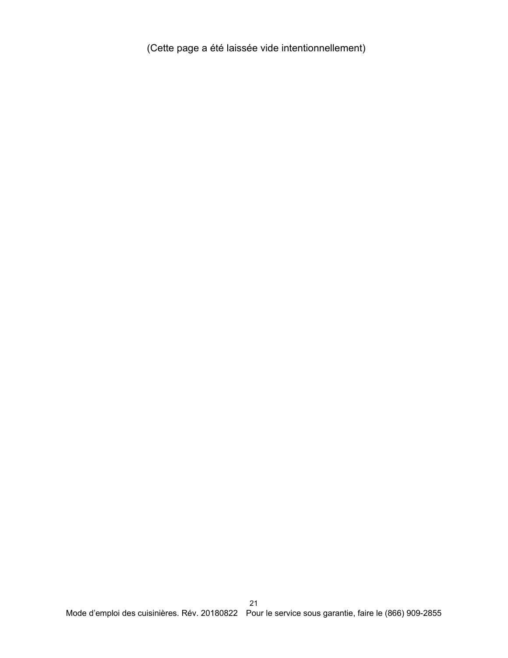(Cette page a été laissée vide intentionnellement)